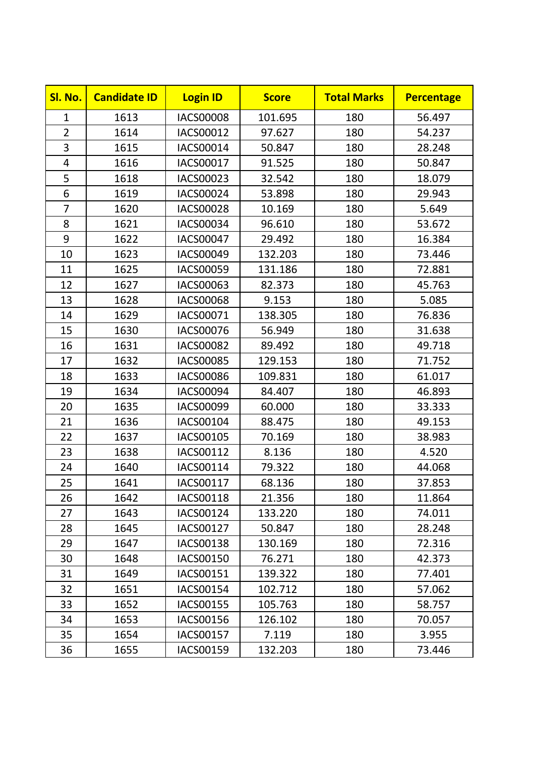| Sl. No.        | <b>Candidate ID</b> | <b>Login ID</b>  | <b>Score</b> | <b>Total Marks</b> | <b>Percentage</b> |
|----------------|---------------------|------------------|--------------|--------------------|-------------------|
| $\mathbf{1}$   | 1613                | <b>IACS00008</b> | 101.695      | 180                | 56.497            |
| $\overline{2}$ | 1614                | IACS00012        | 97.627       | 180                | 54.237            |
| 3              | 1615                | IACS00014        | 50.847       | 180                | 28.248            |
| 4              | 1616                | IACS00017        | 91.525       | 180                | 50.847            |
| 5              | 1618                | IACS00023        | 32.542       | 180                | 18.079            |
| 6              | 1619                | IACS00024        | 53.898       | 180                | 29.943            |
| $\overline{7}$ | 1620                | <b>IACS00028</b> | 10.169       | 180                | 5.649             |
| 8              | 1621                | IACS00034        | 96.610       | 180                | 53.672            |
| 9              | 1622                | <b>IACS00047</b> | 29.492       | 180                | 16.384            |
| 10             | 1623                | IACS00049        | 132.203      | 180                | 73.446            |
| 11             | 1625                | IACS00059        | 131.186      | 180                | 72.881            |
| 12             | 1627                | IACS00063        | 82.373       | 180                | 45.763            |
| 13             | 1628                | <b>IACS00068</b> | 9.153        | 180                | 5.085             |
| 14             | 1629                | IACS00071        | 138.305      | 180                | 76.836            |
| 15             | 1630                | <b>IACS00076</b> | 56.949       | 180                | 31.638            |
| 16             | 1631                | <b>IACS00082</b> | 89.492       | 180                | 49.718            |
| 17             | 1632                | <b>IACS00085</b> | 129.153      | 180                | 71.752            |
| 18             | 1633                | <b>IACS00086</b> | 109.831      | 180                | 61.017            |
| 19             | 1634                | IACS00094        | 84.407       | 180                | 46.893            |
| 20             | 1635                | IACS00099        | 60.000       | 180                | 33.333            |
| 21             | 1636                | IACS00104        | 88.475       | 180                | 49.153            |
| 22             | 1637                | IACS00105        | 70.169       | 180                | 38.983            |
| 23             | 1638                | IACS00112        | 8.136        | 180                | 4.520             |
| 24             | 1640                | IACS00114        | 79.322       | 180                | 44.068            |
| 25             | 1641                | IACS00117        | 68.136       | 180                | 37.853            |
| 26             | 1642                | <b>IACS00118</b> | 21.356       | 180                | 11.864            |
| 27             | 1643                | IACS00124        | 133.220      | 180                | 74.011            |
| 28             | 1645                | IACS00127        | 50.847       | 180                | 28.248            |
| 29             | 1647                | <b>IACS00138</b> | 130.169      | 180                | 72.316            |
| 30             | 1648                | <b>IACS00150</b> | 76.271       | 180                | 42.373            |
| 31             | 1649                | IACS00151        | 139.322      | 180                | 77.401            |
| 32             | 1651                | IACS00154        | 102.712      | 180                | 57.062            |
| 33             | 1652                | IACS00155        | 105.763      | 180                | 58.757            |
| 34             | 1653                | IACS00156        | 126.102      | 180                | 70.057            |
| 35             | 1654                | IACS00157        | 7.119        | 180                | 3.955             |
| 36             | 1655                | IACS00159        | 132.203      | 180                | 73.446            |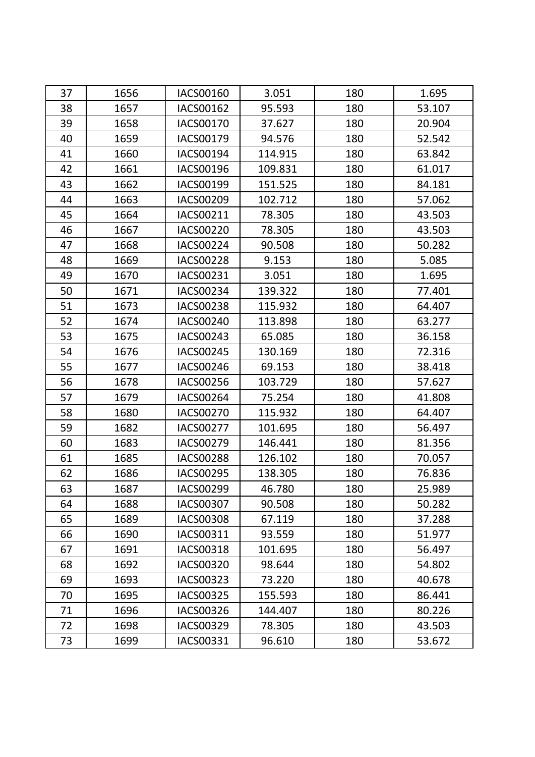| 37 | 1656 | IACS00160        | 3.051   | 180 | 1.695  |
|----|------|------------------|---------|-----|--------|
| 38 | 1657 | IACS00162        | 95.593  | 180 | 53.107 |
| 39 | 1658 | IACS00170        | 37.627  | 180 | 20.904 |
| 40 | 1659 | IACS00179        | 94.576  | 180 | 52.542 |
| 41 | 1660 | IACS00194        | 114.915 | 180 | 63.842 |
| 42 | 1661 | IACS00196        | 109.831 | 180 | 61.017 |
| 43 | 1662 | IACS00199        | 151.525 | 180 | 84.181 |
| 44 | 1663 | IACS00209        | 102.712 | 180 | 57.062 |
| 45 | 1664 | IACS00211        | 78.305  | 180 | 43.503 |
| 46 | 1667 | <b>IACS00220</b> | 78.305  | 180 | 43.503 |
| 47 | 1668 | <b>IACS00224</b> | 90.508  | 180 | 50.282 |
| 48 | 1669 | <b>IACS00228</b> | 9.153   | 180 | 5.085  |
| 49 | 1670 | IACS00231        | 3.051   | 180 | 1.695  |
| 50 | 1671 | IACS00234        | 139.322 | 180 | 77.401 |
| 51 | 1673 | <b>IACS00238</b> | 115.932 | 180 | 64.407 |
| 52 | 1674 | <b>IACS00240</b> | 113.898 | 180 | 63.277 |
| 53 | 1675 | IACS00243        | 65.085  | 180 | 36.158 |
| 54 | 1676 | <b>IACS00245</b> | 130.169 | 180 | 72.316 |
| 55 | 1677 | <b>IACS00246</b> | 69.153  | 180 | 38.418 |
| 56 | 1678 | <b>IACS00256</b> | 103.729 | 180 | 57.627 |
| 57 | 1679 | <b>IACS00264</b> | 75.254  | 180 | 41.808 |
| 58 | 1680 | <b>IACS00270</b> | 115.932 | 180 | 64.407 |
| 59 | 1682 | <b>IACS00277</b> | 101.695 | 180 | 56.497 |
| 60 | 1683 | <b>IACS00279</b> | 146.441 | 180 | 81.356 |
| 61 | 1685 | <b>IACS00288</b> | 126.102 | 180 | 70.057 |
| 62 | 1686 | <b>IACS00295</b> | 138.305 | 180 | 76.836 |
| 63 | 1687 | IACS00299        | 46.780  | 180 | 25.989 |
| 64 | 1688 | <b>IACS00307</b> | 90.508  | 180 | 50.282 |
| 65 | 1689 | <b>IACS00308</b> | 67.119  | 180 | 37.288 |
| 66 | 1690 | IACS00311        | 93.559  | 180 | 51.977 |
| 67 | 1691 | <b>IACS00318</b> | 101.695 | 180 | 56.497 |
| 68 | 1692 | <b>IACS00320</b> | 98.644  | 180 | 54.802 |
| 69 | 1693 | IACS00323        | 73.220  | 180 | 40.678 |
| 70 | 1695 | <b>IACS00325</b> | 155.593 | 180 | 86.441 |
| 71 | 1696 | <b>IACS00326</b> | 144.407 | 180 | 80.226 |
| 72 | 1698 | IACS00329        | 78.305  | 180 | 43.503 |
| 73 | 1699 | IACS00331        | 96.610  | 180 | 53.672 |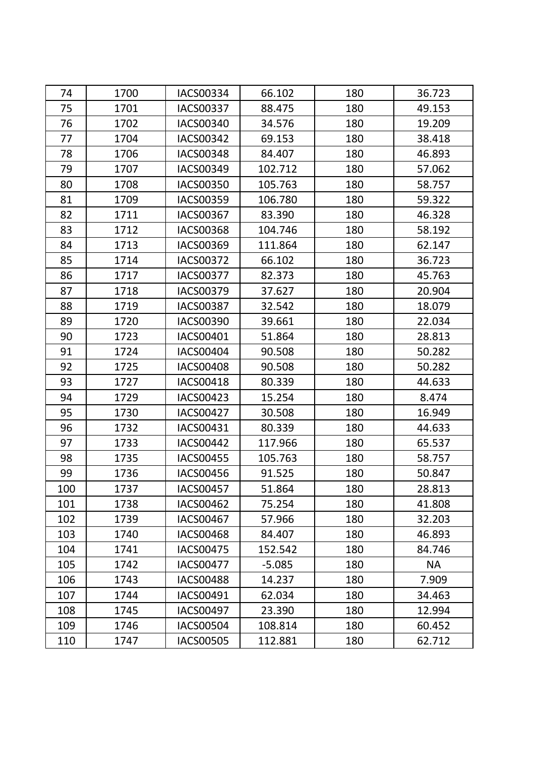| 74  | 1700 | <b>IACS00334</b> | 66.102   | 180 | 36.723    |
|-----|------|------------------|----------|-----|-----------|
| 75  | 1701 | <b>IACS00337</b> | 88.475   | 180 | 49.153    |
| 76  | 1702 | IACS00340        | 34.576   | 180 | 19.209    |
| 77  | 1704 | <b>IACS00342</b> | 69.153   | 180 | 38.418    |
| 78  | 1706 | <b>IACS00348</b> | 84.407   | 180 | 46.893    |
| 79  | 1707 | IACS00349        | 102.712  | 180 | 57.062    |
| 80  | 1708 | <b>IACS00350</b> | 105.763  | 180 | 58.757    |
| 81  | 1709 | <b>IACS00359</b> | 106.780  | 180 | 59.322    |
| 82  | 1711 | IACS00367        | 83.390   | 180 | 46.328    |
| 83  | 1712 | <b>IACS00368</b> | 104.746  | 180 | 58.192    |
| 84  | 1713 | IACS00369        | 111.864  | 180 | 62.147    |
| 85  | 1714 | <b>IACS00372</b> | 66.102   | 180 | 36.723    |
| 86  | 1717 | <b>IACS00377</b> | 82.373   | 180 | 45.763    |
| 87  | 1718 | IACS00379        | 37.627   | 180 | 20.904    |
| 88  | 1719 | <b>IACS00387</b> | 32.542   | 180 | 18.079    |
| 89  | 1720 | <b>IACS00390</b> | 39.661   | 180 | 22.034    |
| 90  | 1723 | IACS00401        | 51.864   | 180 | 28.813    |
| 91  | 1724 | <b>IACS00404</b> | 90.508   | 180 | 50.282    |
| 92  | 1725 | <b>IACS00408</b> | 90.508   | 180 | 50.282    |
| 93  | 1727 | <b>IACS00418</b> | 80.339   | 180 | 44.633    |
| 94  | 1729 | IACS00423        | 15.254   | 180 | 8.474     |
| 95  | 1730 | <b>IACS00427</b> | 30.508   | 180 | 16.949    |
| 96  | 1732 | IACS00431        | 80.339   | 180 | 44.633    |
| 97  | 1733 | <b>IACS00442</b> | 117.966  | 180 | 65.537    |
| 98  | 1735 | <b>IACS00455</b> | 105.763  | 180 | 58.757    |
| 99  | 1736 | <b>IACS00456</b> | 91.525   | 180 | 50.847    |
| 100 | 1737 | <b>IACS00457</b> | 51.864   | 180 | 28.813    |
| 101 | 1738 | <b>IACS00462</b> | 75.254   | 180 | 41.808    |
| 102 | 1739 | IACS00467        | 57.966   | 180 | 32.203    |
| 103 | 1740 | <b>IACS00468</b> | 84.407   | 180 | 46.893    |
| 104 | 1741 | <b>IACS00475</b> | 152.542  | 180 | 84.746    |
| 105 | 1742 | <b>IACS00477</b> | $-5.085$ | 180 | <b>NA</b> |
| 106 | 1743 | <b>IACS00488</b> | 14.237   | 180 | 7.909     |
| 107 | 1744 | IACS00491        | 62.034   | 180 | 34.463    |
| 108 | 1745 | <b>IACS00497</b> | 23.390   | 180 | 12.994    |
| 109 | 1746 | <b>IACS00504</b> | 108.814  | 180 | 60.452    |
| 110 | 1747 | <b>IACS00505</b> | 112.881  | 180 | 62.712    |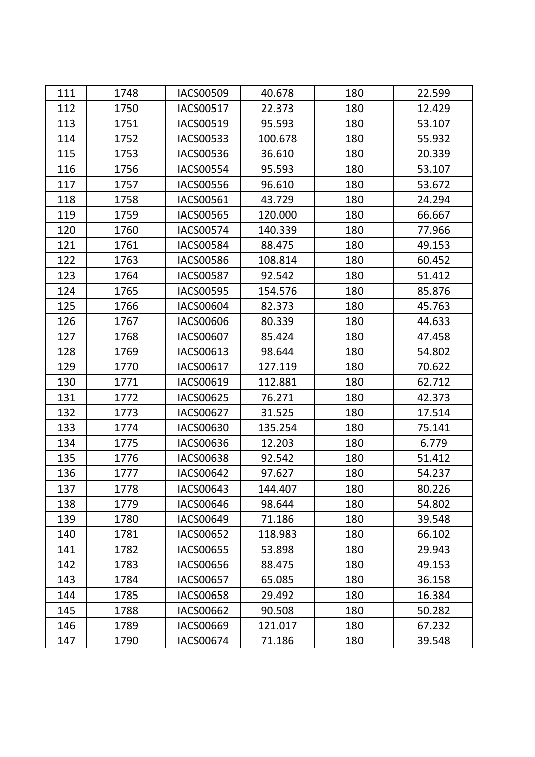| 111 | 1748 | <b>IACS00509</b> | 40.678  | 180 | 22.599 |
|-----|------|------------------|---------|-----|--------|
| 112 | 1750 | <b>IACS00517</b> | 22.373  | 180 | 12.429 |
| 113 | 1751 | IACS00519        | 95.593  | 180 | 53.107 |
| 114 | 1752 | IACS00533        | 100.678 | 180 | 55.932 |
| 115 | 1753 | IACS00536        | 36.610  | 180 | 20.339 |
| 116 | 1756 | <b>IACS00554</b> | 95.593  | 180 | 53.107 |
| 117 | 1757 | <b>IACS00556</b> | 96.610  | 180 | 53.672 |
| 118 | 1758 | IACS00561        | 43.729  | 180 | 24.294 |
| 119 | 1759 | <b>IACS00565</b> | 120.000 | 180 | 66.667 |
| 120 | 1760 | <b>IACS00574</b> | 140.339 | 180 | 77.966 |
| 121 | 1761 | <b>IACS00584</b> | 88.475  | 180 | 49.153 |
| 122 | 1763 | <b>IACS00586</b> | 108.814 | 180 | 60.452 |
| 123 | 1764 | <b>IACS00587</b> | 92.542  | 180 | 51.412 |
| 124 | 1765 | <b>IACS00595</b> | 154.576 | 180 | 85.876 |
| 125 | 1766 | <b>IACS00604</b> | 82.373  | 180 | 45.763 |
| 126 | 1767 | <b>IACS00606</b> | 80.339  | 180 | 44.633 |
| 127 | 1768 | IACS00607        | 85.424  | 180 | 47.458 |
| 128 | 1769 | IACS00613        | 98.644  | 180 | 54.802 |
| 129 | 1770 | IACS00617        | 127.119 | 180 | 70.622 |
| 130 | 1771 | IACS00619        | 112.881 | 180 | 62.712 |
| 131 | 1772 | <b>IACS00625</b> | 76.271  | 180 | 42.373 |
| 132 | 1773 | IACS00627        | 31.525  | 180 | 17.514 |
| 133 | 1774 | IACS00630        | 135.254 | 180 | 75.141 |
| 134 | 1775 | IACS00636        | 12.203  | 180 | 6.779  |
| 135 | 1776 | <b>IACS00638</b> | 92.542  | 180 | 51.412 |
| 136 | 1777 | <b>IACS00642</b> | 97.627  | 180 | 54.237 |
| 137 | 1778 | IACS00643        | 144.407 | 180 | 80.226 |
| 138 | 1779 | <b>IACS00646</b> | 98.644  | 180 | 54.802 |
| 139 | 1780 | IACS00649        | 71.186  | 180 | 39.548 |
| 140 | 1781 | <b>IACS00652</b> | 118.983 | 180 | 66.102 |
| 141 | 1782 | IACS00655        | 53.898  | 180 | 29.943 |
| 142 | 1783 | IACS00656        | 88.475  | 180 | 49.153 |
| 143 | 1784 | <b>IACS00657</b> | 65.085  | 180 | 36.158 |
| 144 | 1785 | <b>IACS00658</b> | 29.492  | 180 | 16.384 |
| 145 | 1788 | <b>IACS00662</b> | 90.508  | 180 | 50.282 |
| 146 | 1789 | IACS00669        | 121.017 | 180 | 67.232 |
| 147 | 1790 | IACS00674        | 71.186  | 180 | 39.548 |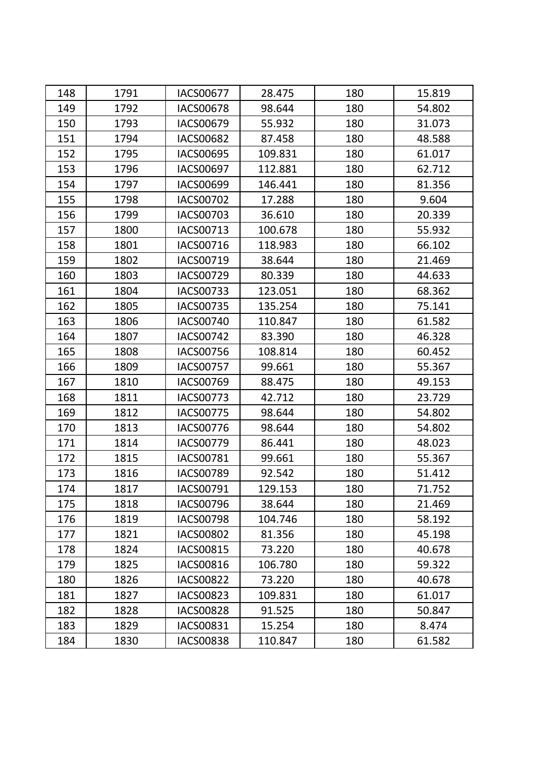| 148 | 1791 | <b>IACS00677</b> | 28.475  | 180 | 15.819 |
|-----|------|------------------|---------|-----|--------|
| 149 | 1792 | <b>IACS00678</b> | 98.644  | 180 | 54.802 |
| 150 | 1793 | IACS00679        | 55.932  | 180 | 31.073 |
| 151 | 1794 | <b>IACS00682</b> | 87.458  | 180 | 48.588 |
| 152 | 1795 | IACS00695        | 109.831 | 180 | 61.017 |
| 153 | 1796 | <b>IACS00697</b> | 112.881 | 180 | 62.712 |
| 154 | 1797 | IACS00699        | 146.441 | 180 | 81.356 |
| 155 | 1798 | <b>IACS00702</b> | 17.288  | 180 | 9.604  |
| 156 | 1799 | IACS00703        | 36.610  | 180 | 20.339 |
| 157 | 1800 | IACS00713        | 100.678 | 180 | 55.932 |
| 158 | 1801 | IACS00716        | 118.983 | 180 | 66.102 |
| 159 | 1802 | IACS00719        | 38.644  | 180 | 21.469 |
| 160 | 1803 | <b>IACS00729</b> | 80.339  | 180 | 44.633 |
| 161 | 1804 | IACS00733        | 123.051 | 180 | 68.362 |
| 162 | 1805 | IACS00735        | 135.254 | 180 | 75.141 |
| 163 | 1806 | <b>IACS00740</b> | 110.847 | 180 | 61.582 |
| 164 | 1807 | <b>IACS00742</b> | 83.390  | 180 | 46.328 |
| 165 | 1808 | <b>IACS00756</b> | 108.814 | 180 | 60.452 |
| 166 | 1809 | <b>IACS00757</b> | 99.661  | 180 | 55.367 |
| 167 | 1810 | IACS00769        | 88.475  | 180 | 49.153 |
| 168 | 1811 | IACS00773        | 42.712  | 180 | 23.729 |
| 169 | 1812 | <b>IACS00775</b> | 98.644  | 180 | 54.802 |
| 170 | 1813 | IACS00776        | 98.644  | 180 | 54.802 |
| 171 | 1814 | <b>IACS00779</b> | 86.441  | 180 | 48.023 |
| 172 | 1815 | IACS00781        | 99.661  | 180 | 55.367 |
| 173 | 1816 | <b>IACS00789</b> | 92.542  | 180 | 51.412 |
| 174 | 1817 | IACS00791        | 129.153 | 180 | 71.752 |
| 175 | 1818 | <b>IACS00796</b> | 38.644  | 180 | 21.469 |
| 176 | 1819 | <b>IACS00798</b> | 104.746 | 180 | 58.192 |
| 177 | 1821 | <b>IACS00802</b> | 81.356  | 180 | 45.198 |
| 178 | 1824 | <b>IACS00815</b> | 73.220  | 180 | 40.678 |
| 179 | 1825 | <b>IACS00816</b> | 106.780 | 180 | 59.322 |
| 180 | 1826 | <b>IACS00822</b> | 73.220  | 180 | 40.678 |
| 181 | 1827 | <b>IACS00823</b> | 109.831 | 180 | 61.017 |
| 182 | 1828 | <b>IACS00828</b> | 91.525  | 180 | 50.847 |
| 183 | 1829 | IACS00831        | 15.254  | 180 | 8.474  |
| 184 | 1830 | <b>IACS00838</b> | 110.847 | 180 | 61.582 |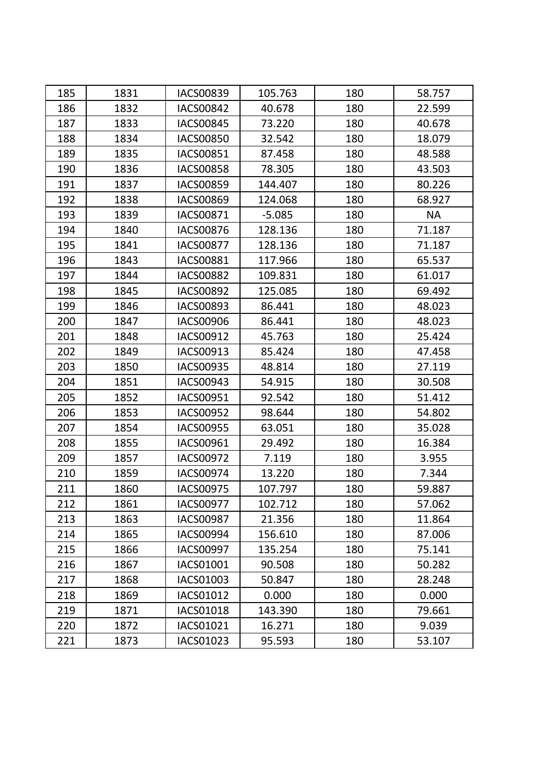| 185 | 1831 | <b>IACS00839</b> | 105.763  | 180 | 58.757    |
|-----|------|------------------|----------|-----|-----------|
| 186 | 1832 | <b>IACS00842</b> | 40.678   | 180 | 22.599    |
| 187 | 1833 | <b>IACS00845</b> | 73.220   | 180 | 40.678    |
| 188 | 1834 | <b>IACS00850</b> | 32.542   | 180 | 18.079    |
| 189 | 1835 | <b>IACS00851</b> | 87.458   | 180 | 48.588    |
| 190 | 1836 | <b>IACS00858</b> | 78.305   | 180 | 43.503    |
| 191 | 1837 | <b>IACS00859</b> | 144.407  | 180 | 80.226    |
| 192 | 1838 | <b>IACS00869</b> | 124.068  | 180 | 68.927    |
| 193 | 1839 | IACS00871        | $-5.085$ | 180 | <b>NA</b> |
| 194 | 1840 | <b>IACS00876</b> | 128.136  | 180 | 71.187    |
| 195 | 1841 | <b>IACS00877</b> | 128.136  | 180 | 71.187    |
| 196 | 1843 | <b>IACS00881</b> | 117.966  | 180 | 65.537    |
| 197 | 1844 | <b>IACS00882</b> | 109.831  | 180 | 61.017    |
| 198 | 1845 | <b>IACS00892</b> | 125.085  | 180 | 69.492    |
| 199 | 1846 | <b>IACS00893</b> | 86.441   | 180 | 48.023    |
| 200 | 1847 | <b>IACS00906</b> | 86.441   | 180 | 48.023    |
| 201 | 1848 | IACS00912        | 45.763   | 180 | 25.424    |
| 202 | 1849 | IACS00913        | 85.424   | 180 | 47.458    |
| 203 | 1850 | IACS00935        | 48.814   | 180 | 27.119    |
| 204 | 1851 | IACS00943        | 54.915   | 180 | 30.508    |
| 205 | 1852 | IACS00951        | 92.542   | 180 | 51.412    |
| 206 | 1853 | <b>IACS00952</b> | 98.644   | 180 | 54.802    |
| 207 | 1854 | <b>IACS00955</b> | 63.051   | 180 | 35.028    |
| 208 | 1855 | IACS00961        | 29.492   | 180 | 16.384    |
| 209 | 1857 | <b>IACS00972</b> | 7.119    | 180 | 3.955     |
| 210 | 1859 | IACS00974        | 13.220   | 180 | 7.344     |
| 211 | 1860 | <b>IACS00975</b> | 107.797  | 180 | 59.887    |
| 212 | 1861 | <b>IACS00977</b> | 102.712  | 180 | 57.062    |
| 213 | 1863 | <b>IACS00987</b> | 21.356   | 180 | 11.864    |
| 214 | 1865 | IACS00994        | 156.610  | 180 | 87.006    |
| 215 | 1866 | IACS00997        | 135.254  | 180 | 75.141    |
| 216 | 1867 | IACS01001        | 90.508   | 180 | 50.282    |
| 217 | 1868 | IACS01003        | 50.847   | 180 | 28.248    |
| 218 | 1869 | IACS01012        | 0.000    | 180 | 0.000     |
| 219 | 1871 | IACS01018        | 143.390  | 180 | 79.661    |
| 220 | 1872 | IACS01021        | 16.271   | 180 | 9.039     |
| 221 | 1873 | IACS01023        | 95.593   | 180 | 53.107    |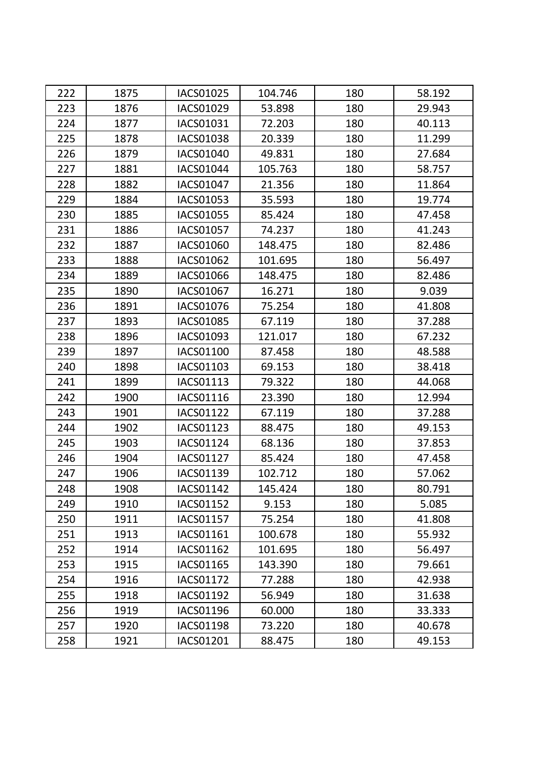| 222 | 1875 | <b>IACS01025</b> | 104.746 | 180 | 58.192 |
|-----|------|------------------|---------|-----|--------|
| 223 | 1876 | IACS01029        | 53.898  | 180 | 29.943 |
| 224 | 1877 | IACS01031        | 72.203  | 180 | 40.113 |
| 225 | 1878 | <b>IACS01038</b> | 20.339  | 180 | 11.299 |
| 226 | 1879 | IACS01040        | 49.831  | 180 | 27.684 |
| 227 | 1881 | IACS01044        | 105.763 | 180 | 58.757 |
| 228 | 1882 | IACS01047        | 21.356  | 180 | 11.864 |
| 229 | 1884 | IACS01053        | 35.593  | 180 | 19.774 |
| 230 | 1885 | IACS01055        | 85.424  | 180 | 47.458 |
| 231 | 1886 | IACS01057        | 74.237  | 180 | 41.243 |
| 232 | 1887 | <b>IACS01060</b> | 148.475 | 180 | 82.486 |
| 233 | 1888 | IACS01062        | 101.695 | 180 | 56.497 |
| 234 | 1889 | <b>IACS01066</b> | 148.475 | 180 | 82.486 |
| 235 | 1890 | <b>IACS01067</b> | 16.271  | 180 | 9.039  |
| 236 | 1891 | IACS01076        | 75.254  | 180 | 41.808 |
| 237 | 1893 | <b>IACS01085</b> | 67.119  | 180 | 37.288 |
| 238 | 1896 | IACS01093        | 121.017 | 180 | 67.232 |
| 239 | 1897 | IACS01100        | 87.458  | 180 | 48.588 |
| 240 | 1898 | IACS01103        | 69.153  | 180 | 38.418 |
| 241 | 1899 | IACS01113        | 79.322  | 180 | 44.068 |
| 242 | 1900 | IACS01116        | 23.390  | 180 | 12.994 |
| 243 | 1901 | IACS01122        | 67.119  | 180 | 37.288 |
| 244 | 1902 | IACS01123        | 88.475  | 180 | 49.153 |
| 245 | 1903 | IACS01124        | 68.136  | 180 | 37.853 |
| 246 | 1904 | <b>IACS01127</b> | 85.424  | 180 | 47.458 |
| 247 | 1906 | IACS01139        | 102.712 | 180 | 57.062 |
| 248 | 1908 | IACS01142        | 145.424 | 180 | 80.791 |
| 249 | 1910 | <b>IACS01152</b> | 9.153   | 180 | 5.085  |
| 250 | 1911 | IACS01157        | 75.254  | 180 | 41.808 |
| 251 | 1913 | IACS01161        | 100.678 | 180 | 55.932 |
| 252 | 1914 | IACS01162        | 101.695 | 180 | 56.497 |
| 253 | 1915 | IACS01165        | 143.390 | 180 | 79.661 |
| 254 | 1916 | IACS01172        | 77.288  | 180 | 42.938 |
| 255 | 1918 | <b>IACS01192</b> | 56.949  | 180 | 31.638 |
| 256 | 1919 | IACS01196        | 60.000  | 180 | 33.333 |
| 257 | 1920 | <b>IACS01198</b> | 73.220  | 180 | 40.678 |
| 258 | 1921 | IACS01201        | 88.475  | 180 | 49.153 |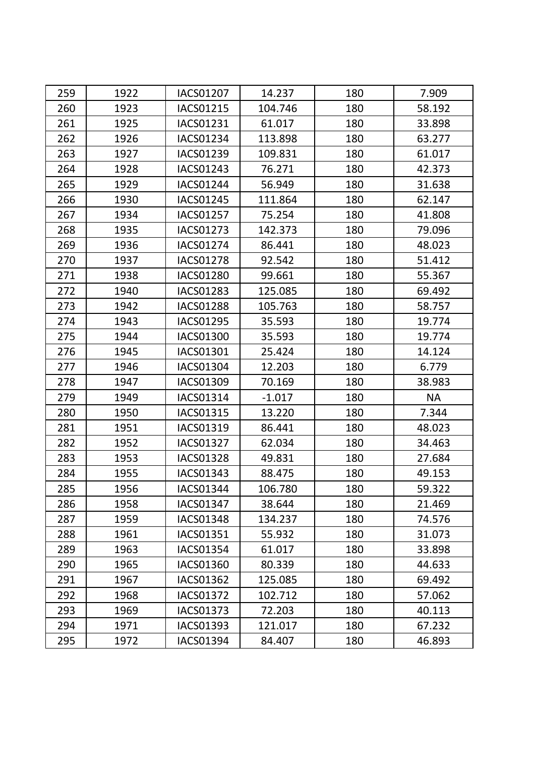| 259 | 1922 | <b>IACS01207</b> | 14.237   | 180 | 7.909     |
|-----|------|------------------|----------|-----|-----------|
| 260 | 1923 | <b>IACS01215</b> | 104.746  | 180 | 58.192    |
| 261 | 1925 | IACS01231        | 61.017   | 180 | 33.898    |
| 262 | 1926 | <b>IACS01234</b> | 113.898  | 180 | 63.277    |
| 263 | 1927 | IACS01239        | 109.831  | 180 | 61.017    |
| 264 | 1928 | IACS01243        | 76.271   | 180 | 42.373    |
| 265 | 1929 | <b>IACS01244</b> | 56.949   | 180 | 31.638    |
| 266 | 1930 | IACS01245        | 111.864  | 180 | 62.147    |
| 267 | 1934 | <b>IACS01257</b> | 75.254   | 180 | 41.808    |
| 268 | 1935 | IACS01273        | 142.373  | 180 | 79.096    |
| 269 | 1936 | IACS01274        | 86.441   | 180 | 48.023    |
| 270 | 1937 | <b>IACS01278</b> | 92.542   | 180 | 51.412    |
| 271 | 1938 | <b>IACS01280</b> | 99.661   | 180 | 55.367    |
| 272 | 1940 | <b>IACS01283</b> | 125.085  | 180 | 69.492    |
| 273 | 1942 | <b>IACS01288</b> | 105.763  | 180 | 58.757    |
| 274 | 1943 | <b>IACS01295</b> | 35.593   | 180 | 19.774    |
| 275 | 1944 | <b>IACS01300</b> | 35.593   | 180 | 19.774    |
| 276 | 1945 | IACS01301        | 25.424   | 180 | 14.124    |
| 277 | 1946 | IACS01304        | 12.203   | 180 | 6.779     |
| 278 | 1947 | IACS01309        | 70.169   | 180 | 38.983    |
| 279 | 1949 | IACS01314        | $-1.017$ | 180 | <b>NA</b> |
| 280 | 1950 | IACS01315        | 13.220   | 180 | 7.344     |
| 281 | 1951 | IACS01319        | 86.441   | 180 | 48.023    |
| 282 | 1952 | <b>IACS01327</b> | 62.034   | 180 | 34.463    |
| 283 | 1953 | <b>IACS01328</b> | 49.831   | 180 | 27.684    |
| 284 | 1955 | IACS01343        | 88.475   | 180 | 49.153    |
| 285 | 1956 | IACS01344        | 106.780  | 180 | 59.322    |
| 286 | 1958 | IACS01347        | 38.644   | 180 | 21.469    |
| 287 | 1959 | <b>IACS01348</b> | 134.237  | 180 | 74.576    |
| 288 | 1961 | IACS01351        | 55.932   | 180 | 31.073    |
| 289 | 1963 | <b>IACS01354</b> | 61.017   | 180 | 33.898    |
| 290 | 1965 | <b>IACS01360</b> | 80.339   | 180 | 44.633    |
| 291 | 1967 | IACS01362        | 125.085  | 180 | 69.492    |
| 292 | 1968 | <b>IACS01372</b> | 102.712  | 180 | 57.062    |
| 293 | 1969 | IACS01373        | 72.203   | 180 | 40.113    |
| 294 | 1971 | IACS01393        | 121.017  | 180 | 67.232    |
| 295 | 1972 | IACS01394        | 84.407   | 180 | 46.893    |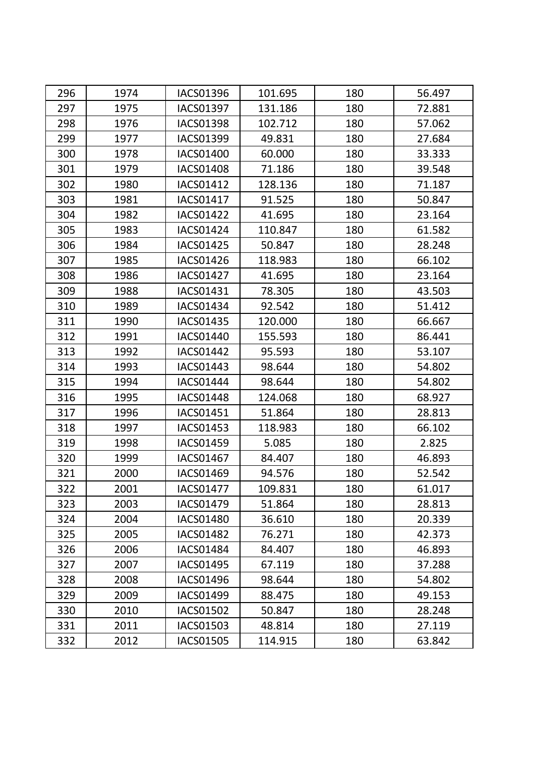| 296 | 1974 | <b>IACS01396</b> | 101.695 | 180 | 56.497 |
|-----|------|------------------|---------|-----|--------|
| 297 | 1975 | <b>IACS01397</b> | 131.186 | 180 | 72.881 |
| 298 | 1976 | <b>IACS01398</b> | 102.712 | 180 | 57.062 |
| 299 | 1977 | <b>IACS01399</b> | 49.831  | 180 | 27.684 |
| 300 | 1978 | <b>IACS01400</b> | 60.000  | 180 | 33.333 |
| 301 | 1979 | <b>IACS01408</b> | 71.186  | 180 | 39.548 |
| 302 | 1980 | IACS01412        | 128.136 | 180 | 71.187 |
| 303 | 1981 | <b>IACS01417</b> | 91.525  | 180 | 50.847 |
| 304 | 1982 | <b>IACS01422</b> | 41.695  | 180 | 23.164 |
| 305 | 1983 | <b>IACS01424</b> | 110.847 | 180 | 61.582 |
| 306 | 1984 | IACS01425        | 50.847  | 180 | 28.248 |
| 307 | 1985 | IACS01426        | 118.983 | 180 | 66.102 |
| 308 | 1986 | <b>IACS01427</b> | 41.695  | 180 | 23.164 |
| 309 | 1988 | IACS01431        | 78.305  | 180 | 43.503 |
| 310 | 1989 | IACS01434        | 92.542  | 180 | 51.412 |
| 311 | 1990 | <b>IACS01435</b> | 120.000 | 180 | 66.667 |
| 312 | 1991 | IACS01440        | 155.593 | 180 | 86.441 |
| 313 | 1992 | <b>IACS01442</b> | 95.593  | 180 | 53.107 |
| 314 | 1993 | IACS01443        | 98.644  | 180 | 54.802 |
| 315 | 1994 | IACS01444        | 98.644  | 180 | 54.802 |
| 316 | 1995 | <b>IACS01448</b> | 124.068 | 180 | 68.927 |
| 317 | 1996 | <b>IACS01451</b> | 51.864  | 180 | 28.813 |
| 318 | 1997 | <b>IACS01453</b> | 118.983 | 180 | 66.102 |
| 319 | 1998 | IACS01459        | 5.085   | 180 | 2.825  |
| 320 | 1999 | <b>IACS01467</b> | 84.407  | 180 | 46.893 |
| 321 | 2000 | IACS01469        | 94.576  | 180 | 52.542 |
| 322 | 2001 | <b>IACS01477</b> | 109.831 | 180 | 61.017 |
| 323 | 2003 | IACS01479        | 51.864  | 180 | 28.813 |
| 324 | 2004 | <b>IACS01480</b> | 36.610  | 180 | 20.339 |
| 325 | 2005 | <b>IACS01482</b> | 76.271  | 180 | 42.373 |
| 326 | 2006 | <b>IACS01484</b> | 84.407  | 180 | 46.893 |
| 327 | 2007 | <b>IACS01495</b> | 67.119  | 180 | 37.288 |
| 328 | 2008 | IACS01496        | 98.644  | 180 | 54.802 |
| 329 | 2009 | <b>IACS01499</b> | 88.475  | 180 | 49.153 |
| 330 | 2010 | <b>IACS01502</b> | 50.847  | 180 | 28.248 |
| 331 | 2011 | IACS01503        | 48.814  | 180 | 27.119 |
| 332 | 2012 | <b>IACS01505</b> | 114.915 | 180 | 63.842 |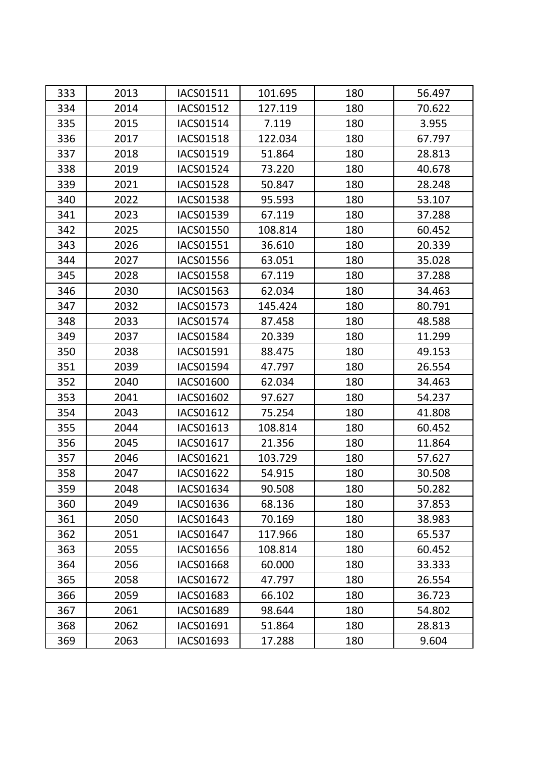| 333 | 2013 | IACS01511        | 101.695 | 180 | 56.497 |
|-----|------|------------------|---------|-----|--------|
| 334 | 2014 | <b>IACS01512</b> | 127.119 | 180 | 70.622 |
| 335 | 2015 | IACS01514        | 7.119   | 180 | 3.955  |
| 336 | 2017 | <b>IACS01518</b> | 122.034 | 180 | 67.797 |
| 337 | 2018 | IACS01519        | 51.864  | 180 | 28.813 |
| 338 | 2019 | <b>IACS01524</b> | 73.220  | 180 | 40.678 |
| 339 | 2021 | <b>IACS01528</b> | 50.847  | 180 | 28.248 |
| 340 | 2022 | <b>IACS01538</b> | 95.593  | 180 | 53.107 |
| 341 | 2023 | <b>IACS01539</b> | 67.119  | 180 | 37.288 |
| 342 | 2025 | <b>IACS01550</b> | 108.814 | 180 | 60.452 |
| 343 | 2026 | <b>IACS01551</b> | 36.610  | 180 | 20.339 |
| 344 | 2027 | <b>IACS01556</b> | 63.051  | 180 | 35.028 |
| 345 | 2028 | <b>IACS01558</b> | 67.119  | 180 | 37.288 |
| 346 | 2030 | <b>IACS01563</b> | 62.034  | 180 | 34.463 |
| 347 | 2032 | <b>IACS01573</b> | 145.424 | 180 | 80.791 |
| 348 | 2033 | <b>IACS01574</b> | 87.458  | 180 | 48.588 |
| 349 | 2037 | <b>IACS01584</b> | 20.339  | 180 | 11.299 |
| 350 | 2038 | IACS01591        | 88.475  | 180 | 49.153 |
| 351 | 2039 | <b>IACS01594</b> | 47.797  | 180 | 26.554 |
| 352 | 2040 | <b>IACS01600</b> | 62.034  | 180 | 34.463 |
| 353 | 2041 | <b>IACS01602</b> | 97.627  | 180 | 54.237 |
| 354 | 2043 | IACS01612        | 75.254  | 180 | 41.808 |
| 355 | 2044 | IACS01613        | 108.814 | 180 | 60.452 |
| 356 | 2045 | IACS01617        | 21.356  | 180 | 11.864 |
| 357 | 2046 | IACS01621        | 103.729 | 180 | 57.627 |
| 358 | 2047 | <b>IACS01622</b> | 54.915  | 180 | 30.508 |
| 359 | 2048 | IACS01634        | 90.508  | 180 | 50.282 |
| 360 | 2049 | IACS01636        | 68.136  | 180 | 37.853 |
| 361 | 2050 | IACS01643        | 70.169  | 180 | 38.983 |
| 362 | 2051 | <b>IACS01647</b> | 117.966 | 180 | 65.537 |
| 363 | 2055 | IACS01656        | 108.814 | 180 | 60.452 |
| 364 | 2056 | <b>IACS01668</b> | 60.000  | 180 | 33.333 |
| 365 | 2058 | IACS01672        | 47.797  | 180 | 26.554 |
| 366 | 2059 | <b>IACS01683</b> | 66.102  | 180 | 36.723 |
| 367 | 2061 | <b>IACS01689</b> | 98.644  | 180 | 54.802 |
| 368 | 2062 | IACS01691        | 51.864  | 180 | 28.813 |
| 369 | 2063 | IACS01693        | 17.288  | 180 | 9.604  |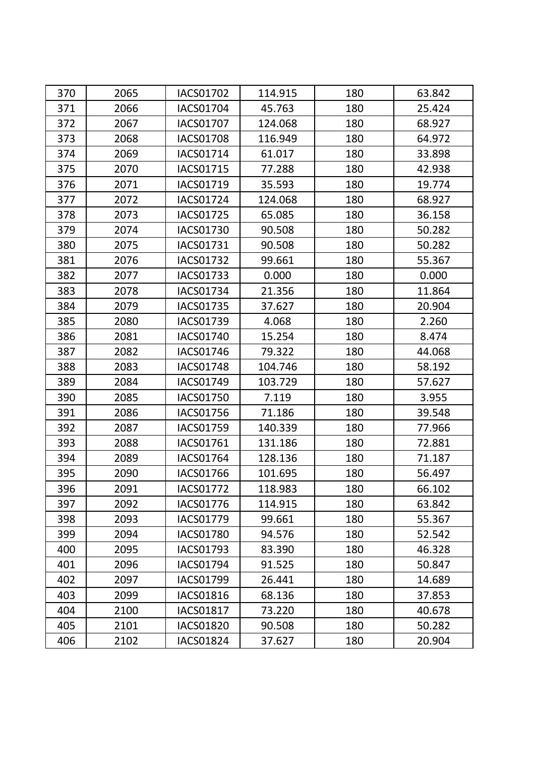| 370 | 2065 | <b>IACS01702</b> | 114.915 | 180 | 63.842 |
|-----|------|------------------|---------|-----|--------|
| 371 | 2066 | <b>IACS01704</b> | 45.763  | 180 | 25.424 |
| 372 | 2067 | <b>IACS01707</b> | 124.068 | 180 | 68.927 |
| 373 | 2068 | <b>IACS01708</b> | 116.949 | 180 | 64.972 |
| 374 | 2069 | IACS01714        | 61.017  | 180 | 33.898 |
| 375 | 2070 | IACS01715        | 77.288  | 180 | 42.938 |
| 376 | 2071 | IACS01719        | 35.593  | 180 | 19.774 |
| 377 | 2072 | <b>IACS01724</b> | 124.068 | 180 | 68.927 |
| 378 | 2073 | IACS01725        | 65.085  | 180 | 36.158 |
| 379 | 2074 | <b>IACS01730</b> | 90.508  | 180 | 50.282 |
| 380 | 2075 | IACS01731        | 90.508  | 180 | 50.282 |
| 381 | 2076 | <b>IACS01732</b> | 99.661  | 180 | 55.367 |
| 382 | 2077 | <b>IACS01733</b> | 0.000   | 180 | 0.000  |
| 383 | 2078 | IACS01734        | 21.356  | 180 | 11.864 |
| 384 | 2079 | <b>IACS01735</b> | 37.627  | 180 | 20.904 |
| 385 | 2080 | IACS01739        | 4.068   | 180 | 2.260  |
| 386 | 2081 | IACS01740        | 15.254  | 180 | 8.474  |
| 387 | 2082 | <b>IACS01746</b> | 79.322  | 180 | 44.068 |
| 388 | 2083 | <b>IACS01748</b> | 104.746 | 180 | 58.192 |
| 389 | 2084 | IACS01749        | 103.729 | 180 | 57.627 |
| 390 | 2085 | <b>IACS01750</b> | 7.119   | 180 | 3.955  |
| 391 | 2086 | <b>IACS01756</b> | 71.186  | 180 | 39.548 |
| 392 | 2087 | IACS01759        | 140.339 | 180 | 77.966 |
| 393 | 2088 | IACS01761        | 131.186 | 180 | 72.881 |
| 394 | 2089 | <b>IACS01764</b> | 128.136 | 180 | 71.187 |
| 395 | 2090 | IACS01766        | 101.695 | 180 | 56.497 |
| 396 | 2091 | <b>IACS01772</b> | 118.983 | 180 | 66.102 |
| 397 | 2092 | <b>IACS01776</b> | 114.915 | 180 | 63.842 |
| 398 | 2093 | IACS01779        | 99.661  | 180 | 55.367 |
| 399 | 2094 | <b>IACS01780</b> | 94.576  | 180 | 52.542 |
| 400 | 2095 | IACS01793        | 83.390  | 180 | 46.328 |
| 401 | 2096 | IACS01794        | 91.525  | 180 | 50.847 |
| 402 | 2097 | IACS01799        | 26.441  | 180 | 14.689 |
| 403 | 2099 | IACS01816        | 68.136  | 180 | 37.853 |
| 404 | 2100 | <b>IACS01817</b> | 73.220  | 180 | 40.678 |
| 405 | 2101 | <b>IACS01820</b> | 90.508  | 180 | 50.282 |
| 406 | 2102 | IACS01824        | 37.627  | 180 | 20.904 |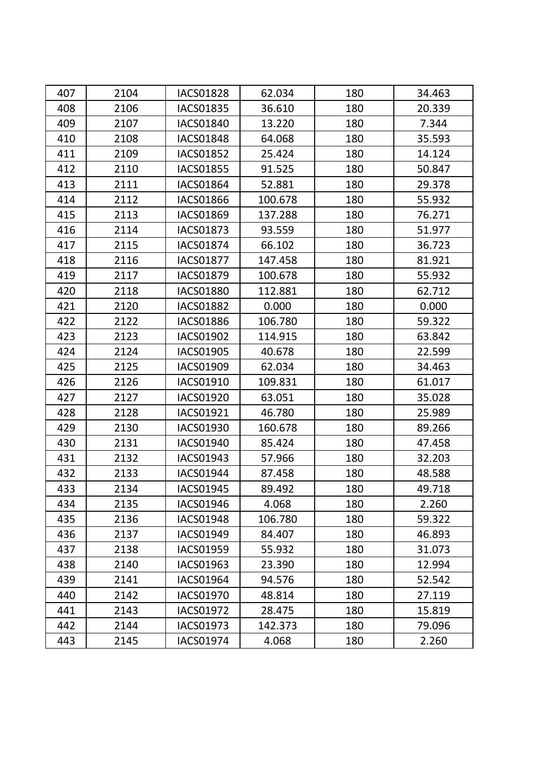| 407 | 2104 | <b>IACS01828</b> | 62.034  | 180 | 34.463 |
|-----|------|------------------|---------|-----|--------|
| 408 | 2106 | <b>IACS01835</b> | 36.610  | 180 | 20.339 |
| 409 | 2107 | <b>IACS01840</b> | 13.220  | 180 | 7.344  |
| 410 | 2108 | <b>IACS01848</b> | 64.068  | 180 | 35.593 |
| 411 | 2109 | <b>IACS01852</b> | 25.424  | 180 | 14.124 |
| 412 | 2110 | <b>IACS01855</b> | 91.525  | 180 | 50.847 |
| 413 | 2111 | <b>IACS01864</b> | 52.881  | 180 | 29.378 |
| 414 | 2112 | <b>IACS01866</b> | 100.678 | 180 | 55.932 |
| 415 | 2113 | <b>IACS01869</b> | 137.288 | 180 | 76.271 |
| 416 | 2114 | <b>IACS01873</b> | 93.559  | 180 | 51.977 |
| 417 | 2115 | <b>IACS01874</b> | 66.102  | 180 | 36.723 |
| 418 | 2116 | <b>IACS01877</b> | 147.458 | 180 | 81.921 |
| 419 | 2117 | <b>IACS01879</b> | 100.678 | 180 | 55.932 |
| 420 | 2118 | <b>IACS01880</b> | 112.881 | 180 | 62.712 |
| 421 | 2120 | <b>IACS01882</b> | 0.000   | 180 | 0.000  |
| 422 | 2122 | <b>IACS01886</b> | 106.780 | 180 | 59.322 |
| 423 | 2123 | <b>IACS01902</b> | 114.915 | 180 | 63.842 |
| 424 | 2124 | <b>IACS01905</b> | 40.678  | 180 | 22.599 |
| 425 | 2125 | IACS01909        | 62.034  | 180 | 34.463 |
| 426 | 2126 | IACS01910        | 109.831 | 180 | 61.017 |
| 427 | 2127 | <b>IACS01920</b> | 63.051  | 180 | 35.028 |
| 428 | 2128 | IACS01921        | 46.780  | 180 | 25.989 |
| 429 | 2130 | <b>IACS01930</b> | 160.678 | 180 | 89.266 |
| 430 | 2131 | <b>IACS01940</b> | 85.424  | 180 | 47.458 |
| 431 | 2132 | IACS01943        | 57.966  | 180 | 32.203 |
| 432 | 2133 | IACS01944        | 87.458  | 180 | 48.588 |
| 433 | 2134 | <b>IACS01945</b> | 89.492  | 180 | 49.718 |
| 434 | 2135 | IACS01946        | 4.068   | 180 | 2.260  |
| 435 | 2136 | <b>IACS01948</b> | 106.780 | 180 | 59.322 |
| 436 | 2137 | IACS01949        | 84.407  | 180 | 46.893 |
| 437 | 2138 | <b>IACS01959</b> | 55.932  | 180 | 31.073 |
| 438 | 2140 | IACS01963        | 23.390  | 180 | 12.994 |
| 439 | 2141 | IACS01964        | 94.576  | 180 | 52.542 |
| 440 | 2142 | IACS01970        | 48.814  | 180 | 27.119 |
| 441 | 2143 | <b>IACS01972</b> | 28.475  | 180 | 15.819 |
| 442 | 2144 | IACS01973        | 142.373 | 180 | 79.096 |
| 443 | 2145 | IACS01974        | 4.068   | 180 | 2.260  |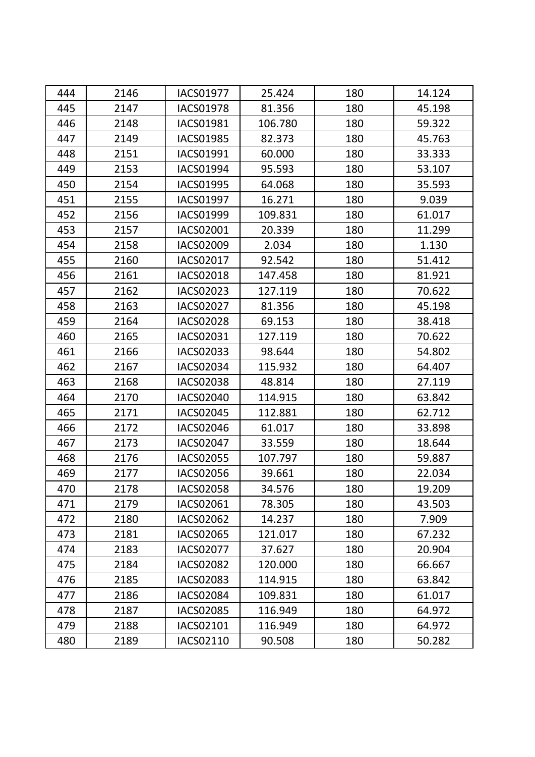| 444 | 2146 | <b>IACS01977</b> | 25.424  | 180 | 14.124 |
|-----|------|------------------|---------|-----|--------|
| 445 | 2147 | <b>IACS01978</b> | 81.356  | 180 | 45.198 |
| 446 | 2148 | <b>IACS01981</b> | 106.780 | 180 | 59.322 |
| 447 | 2149 | <b>IACS01985</b> | 82.373  | 180 | 45.763 |
| 448 | 2151 | IACS01991        | 60.000  | 180 | 33.333 |
| 449 | 2153 | IACS01994        | 95.593  | 180 | 53.107 |
| 450 | 2154 | <b>IACS01995</b> | 64.068  | 180 | 35.593 |
| 451 | 2155 | <b>IACS01997</b> | 16.271  | 180 | 9.039  |
| 452 | 2156 | IACS01999        | 109.831 | 180 | 61.017 |
| 453 | 2157 | IACS02001        | 20.339  | 180 | 11.299 |
| 454 | 2158 | IACS02009        | 2.034   | 180 | 1.130  |
| 455 | 2160 | IACS02017        | 92.542  | 180 | 51.412 |
| 456 | 2161 | <b>IACS02018</b> | 147.458 | 180 | 81.921 |
| 457 | 2162 | IACS02023        | 127.119 | 180 | 70.622 |
| 458 | 2163 | IACS02027        | 81.356  | 180 | 45.198 |
| 459 | 2164 | <b>IACS02028</b> | 69.153  | 180 | 38.418 |
| 460 | 2165 | IACS02031        | 127.119 | 180 | 70.622 |
| 461 | 2166 | IACS02033        | 98.644  | 180 | 54.802 |
| 462 | 2167 | IACS02034        | 115.932 | 180 | 64.407 |
| 463 | 2168 | <b>IACS02038</b> | 48.814  | 180 | 27.119 |
| 464 | 2170 | <b>IACS02040</b> | 114.915 | 180 | 63.842 |
| 465 | 2171 | <b>IACS02045</b> | 112.881 | 180 | 62.712 |
| 466 | 2172 | <b>IACS02046</b> | 61.017  | 180 | 33.898 |
| 467 | 2173 | <b>IACS02047</b> | 33.559  | 180 | 18.644 |
| 468 | 2176 | <b>IACS02055</b> | 107.797 | 180 | 59.887 |
| 469 | 2177 | IACS02056        | 39.661  | 180 | 22.034 |
| 470 | 2178 | <b>IACS02058</b> | 34.576  | 180 | 19.209 |
| 471 | 2179 | IACS02061        | 78.305  | 180 | 43.503 |
| 472 | 2180 | <b>IACS02062</b> | 14.237  | 180 | 7.909  |
| 473 | 2181 | <b>IACS02065</b> | 121.017 | 180 | 67.232 |
| 474 | 2183 | <b>IACS02077</b> | 37.627  | 180 | 20.904 |
| 475 | 2184 | <b>IACS02082</b> | 120.000 | 180 | 66.667 |
| 476 | 2185 | IACS02083        | 114.915 | 180 | 63.842 |
| 477 | 2186 | <b>IACS02084</b> | 109.831 | 180 | 61.017 |
| 478 | 2187 | <b>IACS02085</b> | 116.949 | 180 | 64.972 |
| 479 | 2188 | IACS02101        | 116.949 | 180 | 64.972 |
| 480 | 2189 | IACS02110        | 90.508  | 180 | 50.282 |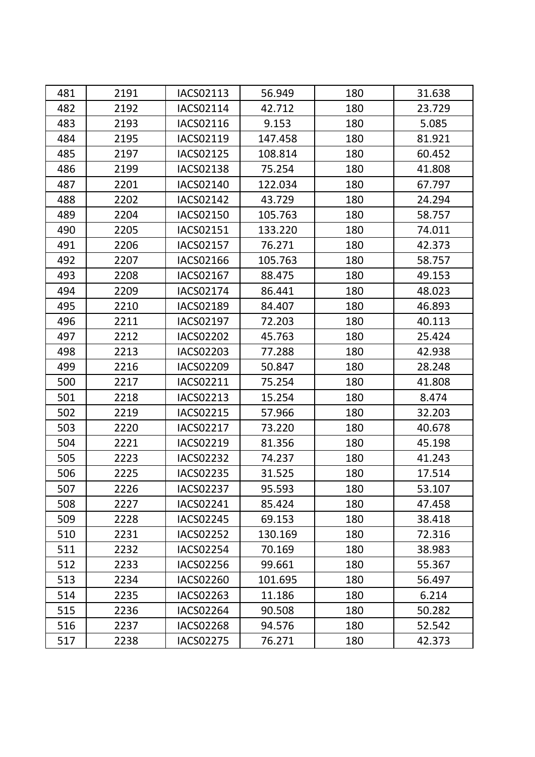| 481 | 2191 | IACS02113        | 56.949  | 180 | 31.638 |
|-----|------|------------------|---------|-----|--------|
| 482 | 2192 | IACS02114        | 42.712  | 180 | 23.729 |
| 483 | 2193 | IACS02116        | 9.153   | 180 | 5.085  |
| 484 | 2195 | IACS02119        | 147.458 | 180 | 81.921 |
| 485 | 2197 | IACS02125        | 108.814 | 180 | 60.452 |
| 486 | 2199 | <b>IACS02138</b> | 75.254  | 180 | 41.808 |
| 487 | 2201 | IACS02140        | 122.034 | 180 | 67.797 |
| 488 | 2202 | <b>IACS02142</b> | 43.729  | 180 | 24.294 |
| 489 | 2204 | IACS02150        | 105.763 | 180 | 58.757 |
| 490 | 2205 | IACS02151        | 133.220 | 180 | 74.011 |
| 491 | 2206 | IACS02157        | 76.271  | 180 | 42.373 |
| 492 | 2207 | IACS02166        | 105.763 | 180 | 58.757 |
| 493 | 2208 | <b>IACS02167</b> | 88.475  | 180 | 49.153 |
| 494 | 2209 | <b>IACS02174</b> | 86.441  | 180 | 48.023 |
| 495 | 2210 | IACS02189        | 84.407  | 180 | 46.893 |
| 496 | 2211 | <b>IACS02197</b> | 72.203  | 180 | 40.113 |
| 497 | 2212 | <b>IACS02202</b> | 45.763  | 180 | 25.424 |
| 498 | 2213 | <b>IACS02203</b> | 77.288  | 180 | 42.938 |
| 499 | 2216 | IACS02209        | 50.847  | 180 | 28.248 |
| 500 | 2217 | IACS02211        | 75.254  | 180 | 41.808 |
| 501 | 2218 | IACS02213        | 15.254  | 180 | 8.474  |
| 502 | 2219 | <b>IACS02215</b> | 57.966  | 180 | 32.203 |
| 503 | 2220 | <b>IACS02217</b> | 73.220  | 180 | 40.678 |
| 504 | 2221 | IACS02219        | 81.356  | 180 | 45.198 |
| 505 | 2223 | <b>IACS02232</b> | 74.237  | 180 | 41.243 |
| 506 | 2225 | <b>IACS02235</b> | 31.525  | 180 | 17.514 |
| 507 | 2226 | <b>IACS02237</b> | 95.593  | 180 | 53.107 |
| 508 | 2227 | IACS02241        | 85.424  | 180 | 47.458 |
| 509 | 2228 | IACS02245        | 69.153  | 180 | 38.418 |
| 510 | 2231 | <b>IACS02252</b> | 130.169 | 180 | 72.316 |
| 511 | 2232 | <b>IACS02254</b> | 70.169  | 180 | 38.983 |
| 512 | 2233 | <b>IACS02256</b> | 99.661  | 180 | 55.367 |
| 513 | 2234 | <b>IACS02260</b> | 101.695 | 180 | 56.497 |
| 514 | 2235 | IACS02263        | 11.186  | 180 | 6.214  |
| 515 | 2236 | <b>IACS02264</b> | 90.508  | 180 | 50.282 |
| 516 | 2237 | <b>IACS02268</b> | 94.576  | 180 | 52.542 |
| 517 | 2238 | <b>IACS02275</b> | 76.271  | 180 | 42.373 |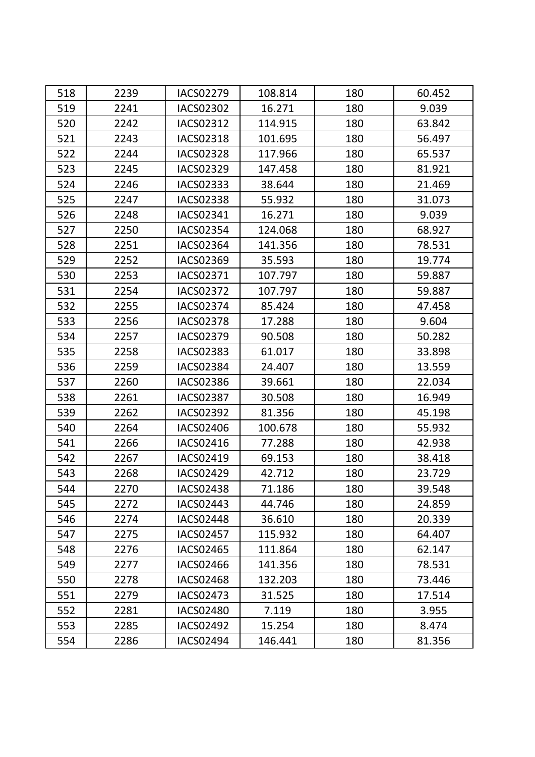| 518 | 2239 | <b>IACS02279</b> | 108.814 | 180 | 60.452 |
|-----|------|------------------|---------|-----|--------|
| 519 | 2241 | <b>IACS02302</b> | 16.271  | 180 | 9.039  |
| 520 | 2242 | IACS02312        | 114.915 | 180 | 63.842 |
| 521 | 2243 | <b>IACS02318</b> | 101.695 | 180 | 56.497 |
| 522 | 2244 | <b>IACS02328</b> | 117.966 | 180 | 65.537 |
| 523 | 2245 | IACS02329        | 147.458 | 180 | 81.921 |
| 524 | 2246 | IACS02333        | 38.644  | 180 | 21.469 |
| 525 | 2247 | <b>IACS02338</b> | 55.932  | 180 | 31.073 |
| 526 | 2248 | IACS02341        | 16.271  | 180 | 9.039  |
| 527 | 2250 | IACS02354        | 124.068 | 180 | 68.927 |
| 528 | 2251 | <b>IACS02364</b> | 141.356 | 180 | 78.531 |
| 529 | 2252 | IACS02369        | 35.593  | 180 | 19.774 |
| 530 | 2253 | IACS02371        | 107.797 | 180 | 59.887 |
| 531 | 2254 | <b>IACS02372</b> | 107.797 | 180 | 59.887 |
| 532 | 2255 | IACS02374        | 85.424  | 180 | 47.458 |
| 533 | 2256 | <b>IACS02378</b> | 17.288  | 180 | 9.604  |
| 534 | 2257 | IACS02379        | 90.508  | 180 | 50.282 |
| 535 | 2258 | <b>IACS02383</b> | 61.017  | 180 | 33.898 |
| 536 | 2259 | <b>IACS02384</b> | 24.407  | 180 | 13.559 |
| 537 | 2260 | <b>IACS02386</b> | 39.661  | 180 | 22.034 |
| 538 | 2261 | <b>IACS02387</b> | 30.508  | 180 | 16.949 |
| 539 | 2262 | <b>IACS02392</b> | 81.356  | 180 | 45.198 |
| 540 | 2264 | <b>IACS02406</b> | 100.678 | 180 | 55.932 |
| 541 | 2266 | IACS02416        | 77.288  | 180 | 42.938 |
| 542 | 2267 | IACS02419        | 69.153  | 180 | 38.418 |
| 543 | 2268 | <b>IACS02429</b> | 42.712  | 180 | 23.729 |
| 544 | 2270 | <b>IACS02438</b> | 71.186  | 180 | 39.548 |
| 545 | 2272 | IACS02443        | 44.746  | 180 | 24.859 |
| 546 | 2274 | <b>IACS02448</b> | 36.610  | 180 | 20.339 |
| 547 | 2275 | <b>IACS02457</b> | 115.932 | 180 | 64.407 |
| 548 | 2276 | IACS02465        | 111.864 | 180 | 62.147 |
| 549 | 2277 | <b>IACS02466</b> | 141.356 | 180 | 78.531 |
| 550 | 2278 | <b>IACS02468</b> | 132.203 | 180 | 73.446 |
| 551 | 2279 | <b>IACS02473</b> | 31.525  | 180 | 17.514 |
| 552 | 2281 | <b>IACS02480</b> | 7.119   | 180 | 3.955  |
| 553 | 2285 | <b>IACS02492</b> | 15.254  | 180 | 8.474  |
| 554 | 2286 | IACS02494        | 146.441 | 180 | 81.356 |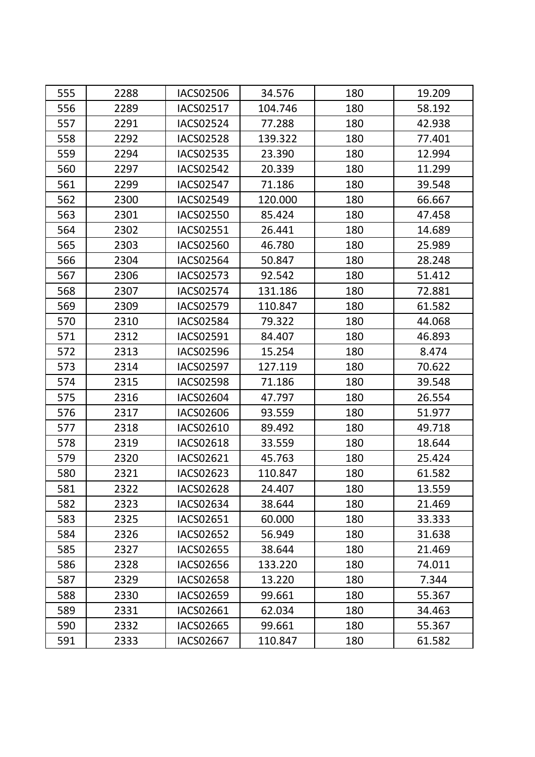| 555 | 2288 | <b>IACS02506</b> | 34.576  | 180 | 19.209 |
|-----|------|------------------|---------|-----|--------|
| 556 | 2289 | <b>IACS02517</b> | 104.746 | 180 | 58.192 |
| 557 | 2291 | IACS02524        | 77.288  | 180 | 42.938 |
| 558 | 2292 | <b>IACS02528</b> | 139.322 | 180 | 77.401 |
| 559 | 2294 | IACS02535        | 23.390  | 180 | 12.994 |
| 560 | 2297 | <b>IACS02542</b> | 20.339  | 180 | 11.299 |
| 561 | 2299 | <b>IACS02547</b> | 71.186  | 180 | 39.548 |
| 562 | 2300 | <b>IACS02549</b> | 120.000 | 180 | 66.667 |
| 563 | 2301 | <b>IACS02550</b> | 85.424  | 180 | 47.458 |
| 564 | 2302 | IACS02551        | 26.441  | 180 | 14.689 |
| 565 | 2303 | <b>IACS02560</b> | 46.780  | 180 | 25.989 |
| 566 | 2304 | <b>IACS02564</b> | 50.847  | 180 | 28.248 |
| 567 | 2306 | <b>IACS02573</b> | 92.542  | 180 | 51.412 |
| 568 | 2307 | <b>IACS02574</b> | 131.186 | 180 | 72.881 |
| 569 | 2309 | IACS02579        | 110.847 | 180 | 61.582 |
| 570 | 2310 | <b>IACS02584</b> | 79.322  | 180 | 44.068 |
| 571 | 2312 | IACS02591        | 84.407  | 180 | 46.893 |
| 572 | 2313 | <b>IACS02596</b> | 15.254  | 180 | 8.474  |
| 573 | 2314 | <b>IACS02597</b> | 127.119 | 180 | 70.622 |
| 574 | 2315 | <b>IACS02598</b> | 71.186  | 180 | 39.548 |
| 575 | 2316 | <b>IACS02604</b> | 47.797  | 180 | 26.554 |
| 576 | 2317 | IACS02606        | 93.559  | 180 | 51.977 |
| 577 | 2318 | IACS02610        | 89.492  | 180 | 49.718 |
| 578 | 2319 | <b>IACS02618</b> | 33.559  | 180 | 18.644 |
| 579 | 2320 | IACS02621        | 45.763  | 180 | 25.424 |
| 580 | 2321 | <b>IACS02623</b> | 110.847 | 180 | 61.582 |
| 581 | 2322 | <b>IACS02628</b> | 24.407  | 180 | 13.559 |
| 582 | 2323 | IACS02634        | 38.644  | 180 | 21.469 |
| 583 | 2325 | IACS02651        | 60.000  | 180 | 33.333 |
| 584 | 2326 | <b>IACS02652</b> | 56.949  | 180 | 31.638 |
| 585 | 2327 | <b>IACS02655</b> | 38.644  | 180 | 21.469 |
| 586 | 2328 | <b>IACS02656</b> | 133.220 | 180 | 74.011 |
| 587 | 2329 | <b>IACS02658</b> | 13.220  | 180 | 7.344  |
| 588 | 2330 | IACS02659        | 99.661  | 180 | 55.367 |
| 589 | 2331 | IACS02661        | 62.034  | 180 | 34.463 |
| 590 | 2332 | <b>IACS02665</b> | 99.661  | 180 | 55.367 |
| 591 | 2333 | <b>IACS02667</b> | 110.847 | 180 | 61.582 |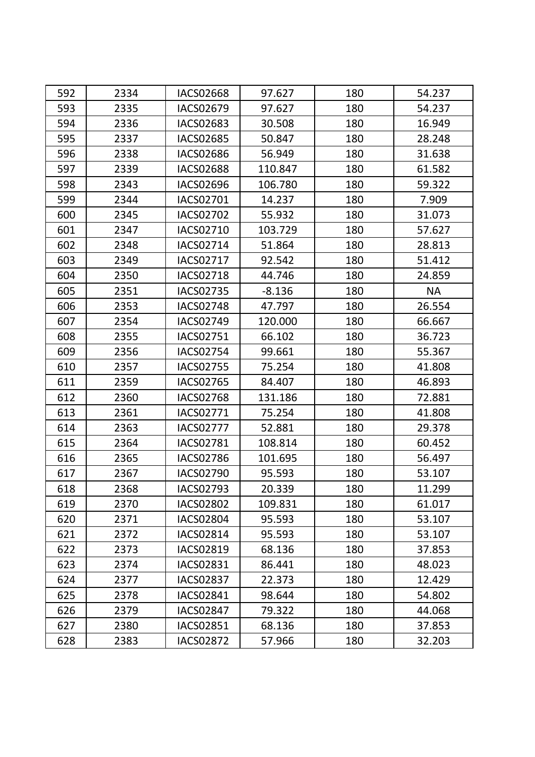| 592 | 2334 | <b>IACS02668</b> | 97.627   | 180 | 54.237    |
|-----|------|------------------|----------|-----|-----------|
| 593 | 2335 | IACS02679        | 97.627   | 180 | 54.237    |
| 594 | 2336 | IACS02683        | 30.508   | 180 | 16.949    |
| 595 | 2337 | <b>IACS02685</b> | 50.847   | 180 | 28.248    |
| 596 | 2338 | <b>IACS02686</b> | 56.949   | 180 | 31.638    |
| 597 | 2339 | <b>IACS02688</b> | 110.847  | 180 | 61.582    |
| 598 | 2343 | <b>IACS02696</b> | 106.780  | 180 | 59.322    |
| 599 | 2344 | IACS02701        | 14.237   | 180 | 7.909     |
| 600 | 2345 | <b>IACS02702</b> | 55.932   | 180 | 31.073    |
| 601 | 2347 | IACS02710        | 103.729  | 180 | 57.627    |
| 602 | 2348 | IACS02714        | 51.864   | 180 | 28.813    |
| 603 | 2349 | <b>IACS02717</b> | 92.542   | 180 | 51.412    |
| 604 | 2350 | <b>IACS02718</b> | 44.746   | 180 | 24.859    |
| 605 | 2351 | <b>IACS02735</b> | $-8.136$ | 180 | <b>NA</b> |
| 606 | 2353 | <b>IACS02748</b> | 47.797   | 180 | 26.554    |
| 607 | 2354 | <b>IACS02749</b> | 120.000  | 180 | 66.667    |
| 608 | 2355 | IACS02751        | 66.102   | 180 | 36.723    |
| 609 | 2356 | <b>IACS02754</b> | 99.661   | 180 | 55.367    |
| 610 | 2357 | <b>IACS02755</b> | 75.254   | 180 | 41.808    |
| 611 | 2359 | IACS02765        | 84.407   | 180 | 46.893    |
| 612 | 2360 | <b>IACS02768</b> | 131.186  | 180 | 72.881    |
| 613 | 2361 | IACS02771        | 75.254   | 180 | 41.808    |
| 614 | 2363 | <b>IACS02777</b> | 52.881   | 180 | 29.378    |
| 615 | 2364 | <b>IACS02781</b> | 108.814  | 180 | 60.452    |
| 616 | 2365 | <b>IACS02786</b> | 101.695  | 180 | 56.497    |
| 617 | 2367 | <b>IACS02790</b> | 95.593   | 180 | 53.107    |
| 618 | 2368 | IACS02793        | 20.339   | 180 | 11.299    |
| 619 | 2370 | <b>IACS02802</b> | 109.831  | 180 | 61.017    |
| 620 | 2371 | <b>IACS02804</b> | 95.593   | 180 | 53.107    |
| 621 | 2372 | <b>IACS02814</b> | 95.593   | 180 | 53.107    |
| 622 | 2373 | IACS02819        | 68.136   | 180 | 37.853    |
| 623 | 2374 | IACS02831        | 86.441   | 180 | 48.023    |
| 624 | 2377 | <b>IACS02837</b> | 22.373   | 180 | 12.429    |
| 625 | 2378 | IACS02841        | 98.644   | 180 | 54.802    |
| 626 | 2379 | <b>IACS02847</b> | 79.322   | 180 | 44.068    |
| 627 | 2380 | <b>IACS02851</b> | 68.136   | 180 | 37.853    |
| 628 | 2383 | <b>IACS02872</b> | 57.966   | 180 | 32.203    |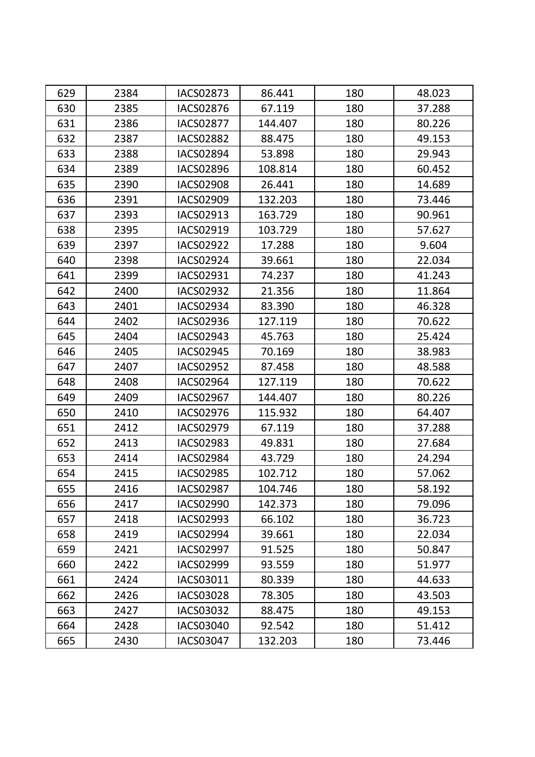| 629 | 2384 | <b>IACS02873</b> | 86.441  | 180 | 48.023 |
|-----|------|------------------|---------|-----|--------|
| 630 | 2385 | <b>IACS02876</b> | 67.119  | 180 | 37.288 |
| 631 | 2386 | <b>IACS02877</b> | 144.407 | 180 | 80.226 |
| 632 | 2387 | <b>IACS02882</b> | 88.475  | 180 | 49.153 |
| 633 | 2388 | <b>IACS02894</b> | 53.898  | 180 | 29.943 |
| 634 | 2389 | <b>IACS02896</b> | 108.814 | 180 | 60.452 |
| 635 | 2390 | <b>IACS02908</b> | 26.441  | 180 | 14.689 |
| 636 | 2391 | <b>IACS02909</b> | 132.203 | 180 | 73.446 |
| 637 | 2393 | IACS02913        | 163.729 | 180 | 90.961 |
| 638 | 2395 | IACS02919        | 103.729 | 180 | 57.627 |
| 639 | 2397 | <b>IACS02922</b> | 17.288  | 180 | 9.604  |
| 640 | 2398 | IACS02924        | 39.661  | 180 | 22.034 |
| 641 | 2399 | IACS02931        | 74.237  | 180 | 41.243 |
| 642 | 2400 | <b>IACS02932</b> | 21.356  | 180 | 11.864 |
| 643 | 2401 | IACS02934        | 83.390  | 180 | 46.328 |
| 644 | 2402 | <b>IACS02936</b> | 127.119 | 180 | 70.622 |
| 645 | 2404 | IACS02943        | 45.763  | 180 | 25.424 |
| 646 | 2405 | <b>IACS02945</b> | 70.169  | 180 | 38.983 |
| 647 | 2407 | <b>IACS02952</b> | 87.458  | 180 | 48.588 |
| 648 | 2408 | <b>IACS02964</b> | 127.119 | 180 | 70.622 |
| 649 | 2409 | IACS02967        | 144.407 | 180 | 80.226 |
| 650 | 2410 | <b>IACS02976</b> | 115.932 | 180 | 64.407 |
| 651 | 2412 | <b>IACS02979</b> | 67.119  | 180 | 37.288 |
| 652 | 2413 | <b>IACS02983</b> | 49.831  | 180 | 27.684 |
| 653 | 2414 | <b>IACS02984</b> | 43.729  | 180 | 24.294 |
| 654 | 2415 | <b>IACS02985</b> | 102.712 | 180 | 57.062 |
| 655 | 2416 | <b>IACS02987</b> | 104.746 | 180 | 58.192 |
| 656 | 2417 | <b>IACS02990</b> | 142.373 | 180 | 79.096 |
| 657 | 2418 | IACS02993        | 66.102  | 180 | 36.723 |
| 658 | 2419 | <b>IACS02994</b> | 39.661  | 180 | 22.034 |
| 659 | 2421 | <b>IACS02997</b> | 91.525  | 180 | 50.847 |
| 660 | 2422 | IACS02999        | 93.559  | 180 | 51.977 |
| 661 | 2424 | IACS03011        | 80.339  | 180 | 44.633 |
| 662 | 2426 | <b>IACS03028</b> | 78.305  | 180 | 43.503 |
| 663 | 2427 | IACS03032        | 88.475  | 180 | 49.153 |
| 664 | 2428 | <b>IACS03040</b> | 92.542  | 180 | 51.412 |
| 665 | 2430 | IACS03047        | 132.203 | 180 | 73.446 |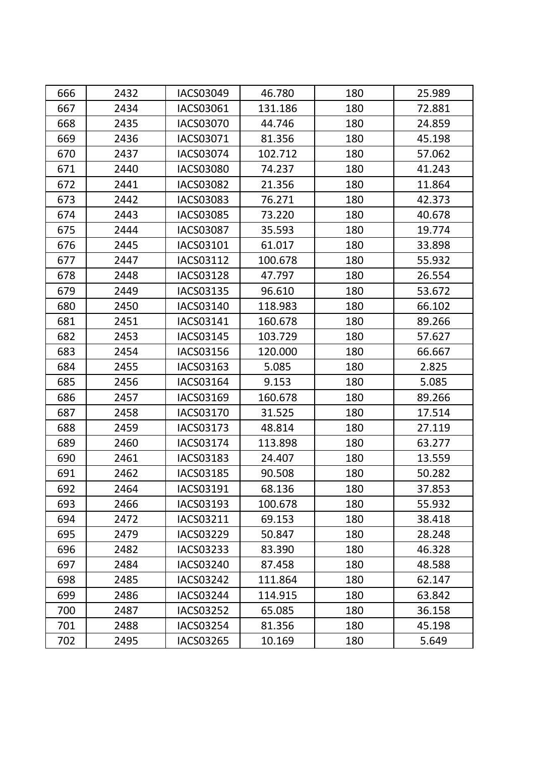| 666 | 2432 | IACS03049        | 46.780  | 180 | 25.989 |
|-----|------|------------------|---------|-----|--------|
| 667 | 2434 | IACS03061        | 131.186 | 180 | 72.881 |
| 668 | 2435 | IACS03070        | 44.746  | 180 | 24.859 |
| 669 | 2436 | IACS03071        | 81.356  | 180 | 45.198 |
| 670 | 2437 | IACS03074        | 102.712 | 180 | 57.062 |
| 671 | 2440 | <b>IACS03080</b> | 74.237  | 180 | 41.243 |
| 672 | 2441 | <b>IACS03082</b> | 21.356  | 180 | 11.864 |
| 673 | 2442 | IACS03083        | 76.271  | 180 | 42.373 |
| 674 | 2443 | <b>IACS03085</b> | 73.220  | 180 | 40.678 |
| 675 | 2444 | <b>IACS03087</b> | 35.593  | 180 | 19.774 |
| 676 | 2445 | IACS03101        | 61.017  | 180 | 33.898 |
| 677 | 2447 | IACS03112        | 100.678 | 180 | 55.932 |
| 678 | 2448 | <b>IACS03128</b> | 47.797  | 180 | 26.554 |
| 679 | 2449 | IACS03135        | 96.610  | 180 | 53.672 |
| 680 | 2450 | IACS03140        | 118.983 | 180 | 66.102 |
| 681 | 2451 | IACS03141        | 160.678 | 180 | 89.266 |
| 682 | 2453 | IACS03145        | 103.729 | 180 | 57.627 |
| 683 | 2454 | IACS03156        | 120.000 | 180 | 66.667 |
| 684 | 2455 | IACS03163        | 5.085   | 180 | 2.825  |
| 685 | 2456 | IACS03164        | 9.153   | 180 | 5.085  |
| 686 | 2457 | IACS03169        | 160.678 | 180 | 89.266 |
| 687 | 2458 | IACS03170        | 31.525  | 180 | 17.514 |
| 688 | 2459 | IACS03173        | 48.814  | 180 | 27.119 |
| 689 | 2460 | IACS03174        | 113.898 | 180 | 63.277 |
| 690 | 2461 | IACS03183        | 24.407  | 180 | 13.559 |
| 691 | 2462 | <b>IACS03185</b> | 90.508  | 180 | 50.282 |
| 692 | 2464 | IACS03191        | 68.136  | 180 | 37.853 |
| 693 | 2466 | IACS03193        | 100.678 | 180 | 55.932 |
| 694 | 2472 | IACS03211        | 69.153  | 180 | 38.418 |
| 695 | 2479 | <b>IACS03229</b> | 50.847  | 180 | 28.248 |
| 696 | 2482 | IACS03233        | 83.390  | 180 | 46.328 |
| 697 | 2484 | IACS03240        | 87.458  | 180 | 48.588 |
| 698 | 2485 | IACS03242        | 111.864 | 180 | 62.147 |
| 699 | 2486 | IACS03244        | 114.915 | 180 | 63.842 |
| 700 | 2487 | <b>IACS03252</b> | 65.085  | 180 | 36.158 |
| 701 | 2488 | <b>IACS03254</b> | 81.356  | 180 | 45.198 |
| 702 | 2495 | IACS03265        | 10.169  | 180 | 5.649  |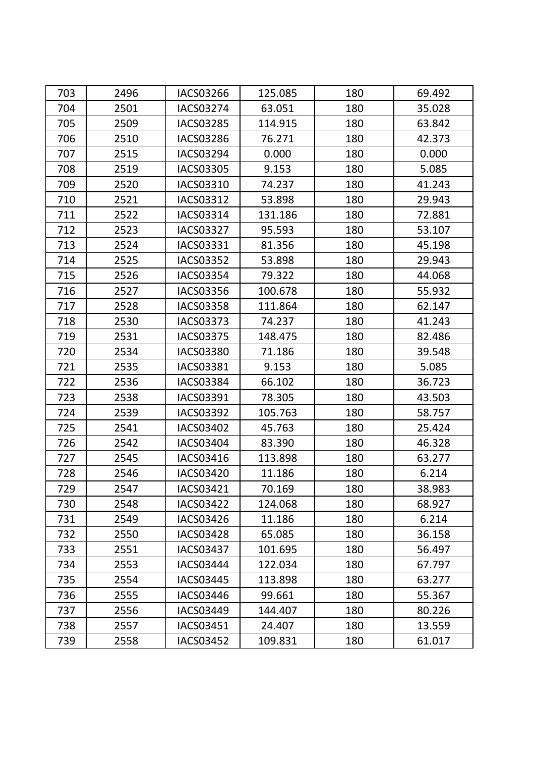| 703 | 2496 | <b>IACS03266</b> | 125.085 | 180 | 69.492 |
|-----|------|------------------|---------|-----|--------|
| 704 | 2501 | <b>IACS03274</b> | 63.051  | 180 | 35.028 |
| 705 | 2509 | <b>IACS03285</b> | 114.915 | 180 | 63.842 |
| 706 | 2510 | <b>IACS03286</b> | 76.271  | 180 | 42.373 |
| 707 | 2515 | IACS03294        | 0.000   | 180 | 0.000  |
| 708 | 2519 | <b>IACS03305</b> | 9.153   | 180 | 5.085  |
| 709 | 2520 | IACS03310        | 74.237  | 180 | 41.243 |
| 710 | 2521 | IACS03312        | 53.898  | 180 | 29.943 |
| 711 | 2522 | IACS03314        | 131.186 | 180 | 72.881 |
| 712 | 2523 | IACS03327        | 95.593  | 180 | 53.107 |
| 713 | 2524 | IACS03331        | 81.356  | 180 | 45.198 |
| 714 | 2525 | <b>IACS03352</b> | 53.898  | 180 | 29.943 |
| 715 | 2526 | <b>IACS03354</b> | 79.322  | 180 | 44.068 |
| 716 | 2527 | IACS03356        | 100.678 | 180 | 55.932 |
| 717 | 2528 | <b>IACS03358</b> | 111.864 | 180 | 62.147 |
| 718 | 2530 | IACS03373        | 74.237  | 180 | 41.243 |
| 719 | 2531 | <b>IACS03375</b> | 148.475 | 180 | 82.486 |
| 720 | 2534 | <b>IACS03380</b> | 71.186  | 180 | 39.548 |
| 721 | 2535 | IACS03381        | 9.153   | 180 | 5.085  |
| 722 | 2536 | <b>IACS03384</b> | 66.102  | 180 | 36.723 |
| 723 | 2538 | IACS03391        | 78.305  | 180 | 43.503 |
| 724 | 2539 | IACS03392        | 105.763 | 180 | 58.757 |
| 725 | 2541 | <b>IACS03402</b> | 45.763  | 180 | 25.424 |
| 726 | 2542 | <b>IACS03404</b> | 83.390  | 180 | 46.328 |
| 727 | 2545 | IACS03416        | 113.898 | 180 | 63.277 |
| 728 | 2546 | <b>IACS03420</b> | 11.186  | 180 | 6.214  |
| 729 | 2547 | IACS03421        | 70.169  | 180 | 38.983 |
| 730 | 2548 | <b>IACS03422</b> | 124.068 | 180 | 68.927 |
| 731 | 2549 | <b>IACS03426</b> | 11.186  | 180 | 6.214  |
| 732 | 2550 | <b>IACS03428</b> | 65.085  | 180 | 36.158 |
| 733 | 2551 | IACS03437        | 101.695 | 180 | 56.497 |
| 734 | 2553 | IACS03444        | 122.034 | 180 | 67.797 |
| 735 | 2554 | IACS03445        | 113.898 | 180 | 63.277 |
| 736 | 2555 | IACS03446        | 99.661  | 180 | 55.367 |
| 737 | 2556 | IACS03449        | 144.407 | 180 | 80.226 |
| 738 | 2557 | IACS03451        | 24.407  | 180 | 13.559 |
| 739 | 2558 | <b>IACS03452</b> | 109.831 | 180 | 61.017 |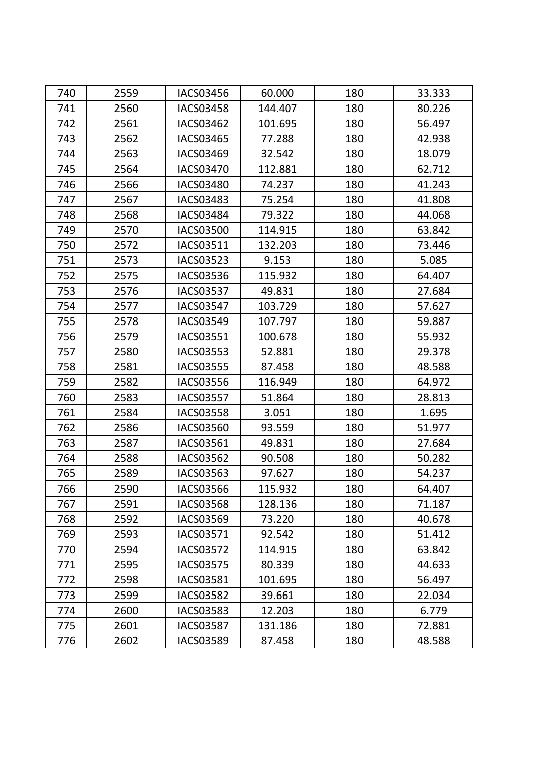| 740 | 2559 | <b>IACS03456</b> | 60.000  | 180 | 33.333 |
|-----|------|------------------|---------|-----|--------|
| 741 | 2560 | <b>IACS03458</b> | 144.407 | 180 | 80.226 |
| 742 | 2561 | <b>IACS03462</b> | 101.695 | 180 | 56.497 |
| 743 | 2562 | <b>IACS03465</b> | 77.288  | 180 | 42.938 |
| 744 | 2563 | IACS03469        | 32.542  | 180 | 18.079 |
| 745 | 2564 | <b>IACS03470</b> | 112.881 | 180 | 62.712 |
| 746 | 2566 | <b>IACS03480</b> | 74.237  | 180 | 41.243 |
| 747 | 2567 | <b>IACS03483</b> | 75.254  | 180 | 41.808 |
| 748 | 2568 | IACS03484        | 79.322  | 180 | 44.068 |
| 749 | 2570 | <b>IACS03500</b> | 114.915 | 180 | 63.842 |
| 750 | 2572 | IACS03511        | 132.203 | 180 | 73.446 |
| 751 | 2573 | <b>IACS03523</b> | 9.153   | 180 | 5.085  |
| 752 | 2575 | <b>IACS03536</b> | 115.932 | 180 | 64.407 |
| 753 | 2576 | <b>IACS03537</b> | 49.831  | 180 | 27.684 |
| 754 | 2577 | <b>IACS03547</b> | 103.729 | 180 | 57.627 |
| 755 | 2578 | IACS03549        | 107.797 | 180 | 59.887 |
| 756 | 2579 | IACS03551        | 100.678 | 180 | 55.932 |
| 757 | 2580 | <b>IACS03553</b> | 52.881  | 180 | 29.378 |
| 758 | 2581 | <b>IACS03555</b> | 87.458  | 180 | 48.588 |
| 759 | 2582 | <b>IACS03556</b> | 116.949 | 180 | 64.972 |
| 760 | 2583 | <b>IACS03557</b> | 51.864  | 180 | 28.813 |
| 761 | 2584 | <b>IACS03558</b> | 3.051   | 180 | 1.695  |
| 762 | 2586 | <b>IACS03560</b> | 93.559  | 180 | 51.977 |
| 763 | 2587 | IACS03561        | 49.831  | 180 | 27.684 |
| 764 | 2588 | <b>IACS03562</b> | 90.508  | 180 | 50.282 |
| 765 | 2589 | IACS03563        | 97.627  | 180 | 54.237 |
| 766 | 2590 | <b>IACS03566</b> | 115.932 | 180 | 64.407 |
| 767 | 2591 | <b>IACS03568</b> | 128.136 | 180 | 71.187 |
| 768 | 2592 | IACS03569        | 73.220  | 180 | 40.678 |
| 769 | 2593 | IACS03571        | 92.542  | 180 | 51.412 |
| 770 | 2594 | <b>IACS03572</b> | 114.915 | 180 | 63.842 |
| 771 | 2595 | <b>IACS03575</b> | 80.339  | 180 | 44.633 |
| 772 | 2598 | IACS03581        | 101.695 | 180 | 56.497 |
| 773 | 2599 | <b>IACS03582</b> | 39.661  | 180 | 22.034 |
| 774 | 2600 | <b>IACS03583</b> | 12.203  | 180 | 6.779  |
| 775 | 2601 | <b>IACS03587</b> | 131.186 | 180 | 72.881 |
| 776 | 2602 | <b>IACS03589</b> | 87.458  | 180 | 48.588 |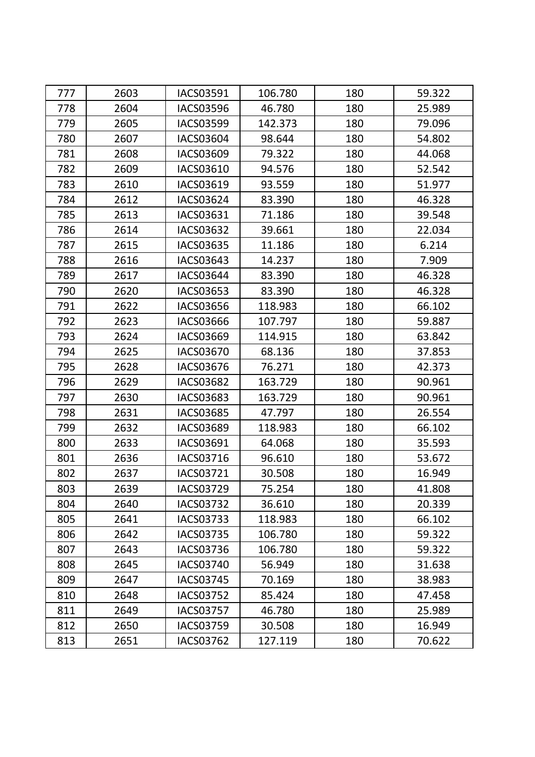| 777 | 2603 | IACS03591        | 106.780 | 180 | 59.322 |
|-----|------|------------------|---------|-----|--------|
| 778 | 2604 | <b>IACS03596</b> | 46.780  | 180 | 25.989 |
| 779 | 2605 | <b>IACS03599</b> | 142.373 | 180 | 79.096 |
| 780 | 2607 | <b>IACS03604</b> | 98.644  | 180 | 54.802 |
| 781 | 2608 | IACS03609        | 79.322  | 180 | 44.068 |
| 782 | 2609 | IACS03610        | 94.576  | 180 | 52.542 |
| 783 | 2610 | IACS03619        | 93.559  | 180 | 51.977 |
| 784 | 2612 | IACS03624        | 83.390  | 180 | 46.328 |
| 785 | 2613 | IACS03631        | 71.186  | 180 | 39.548 |
| 786 | 2614 | IACS03632        | 39.661  | 180 | 22.034 |
| 787 | 2615 | <b>IACS03635</b> | 11.186  | 180 | 6.214  |
| 788 | 2616 | IACS03643        | 14.237  | 180 | 7.909  |
| 789 | 2617 | <b>IACS03644</b> | 83.390  | 180 | 46.328 |
| 790 | 2620 | IACS03653        | 83.390  | 180 | 46.328 |
| 791 | 2622 | IACS03656        | 118.983 | 180 | 66.102 |
| 792 | 2623 | <b>IACS03666</b> | 107.797 | 180 | 59.887 |
| 793 | 2624 | IACS03669        | 114.915 | 180 | 63.842 |
| 794 | 2625 | IACS03670        | 68.136  | 180 | 37.853 |
| 795 | 2628 | IACS03676        | 76.271  | 180 | 42.373 |
| 796 | 2629 | <b>IACS03682</b> | 163.729 | 180 | 90.961 |
| 797 | 2630 | <b>IACS03683</b> | 163.729 | 180 | 90.961 |
| 798 | 2631 | IACS03685        | 47.797  | 180 | 26.554 |
| 799 | 2632 | <b>IACS03689</b> | 118.983 | 180 | 66.102 |
| 800 | 2633 | IACS03691        | 64.068  | 180 | 35.593 |
| 801 | 2636 | IACS03716        | 96.610  | 180 | 53.672 |
| 802 | 2637 | IACS03721        | 30.508  | 180 | 16.949 |
| 803 | 2639 | <b>IACS03729</b> | 75.254  | 180 | 41.808 |
| 804 | 2640 | <b>IACS03732</b> | 36.610  | 180 | 20.339 |
| 805 | 2641 | <b>IACS03733</b> | 118.983 | 180 | 66.102 |
| 806 | 2642 | <b>IACS03735</b> | 106.780 | 180 | 59.322 |
| 807 | 2643 | <b>IACS03736</b> | 106.780 | 180 | 59.322 |
| 808 | 2645 | IACS03740        | 56.949  | 180 | 31.638 |
| 809 | 2647 | <b>IACS03745</b> | 70.169  | 180 | 38.983 |
| 810 | 2648 | <b>IACS03752</b> | 85.424  | 180 | 47.458 |
| 811 | 2649 | <b>IACS03757</b> | 46.780  | 180 | 25.989 |
| 812 | 2650 | IACS03759        | 30.508  | 180 | 16.949 |
| 813 | 2651 | IACS03762        | 127.119 | 180 | 70.622 |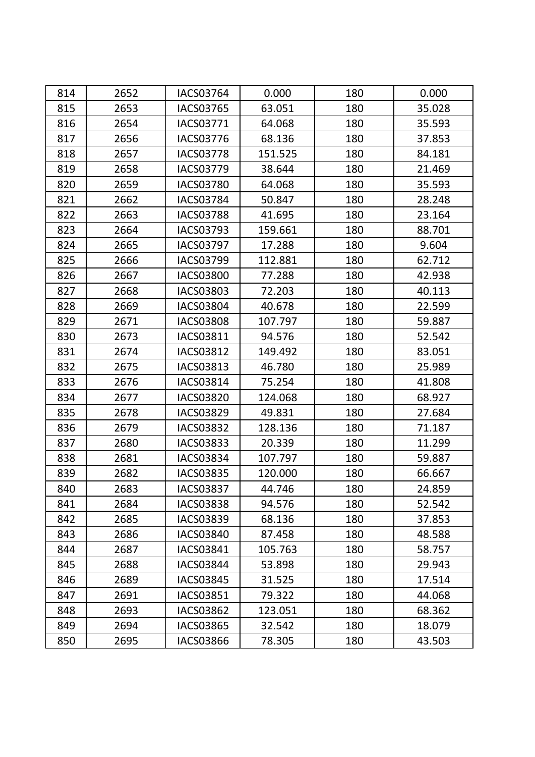| 814 | 2652 | <b>IACS03764</b> | 0.000   | 180 | 0.000  |
|-----|------|------------------|---------|-----|--------|
| 815 | 2653 | <b>IACS03765</b> | 63.051  | 180 | 35.028 |
| 816 | 2654 | IACS03771        | 64.068  | 180 | 35.593 |
| 817 | 2656 | <b>IACS03776</b> | 68.136  | 180 | 37.853 |
| 818 | 2657 | <b>IACS03778</b> | 151.525 | 180 | 84.181 |
| 819 | 2658 | <b>IACS03779</b> | 38.644  | 180 | 21.469 |
| 820 | 2659 | <b>IACS03780</b> | 64.068  | 180 | 35.593 |
| 821 | 2662 | <b>IACS03784</b> | 50.847  | 180 | 28.248 |
| 822 | 2663 | <b>IACS03788</b> | 41.695  | 180 | 23.164 |
| 823 | 2664 | IACS03793        | 159.661 | 180 | 88.701 |
| 824 | 2665 | <b>IACS03797</b> | 17.288  | 180 | 9.604  |
| 825 | 2666 | IACS03799        | 112.881 | 180 | 62.712 |
| 826 | 2667 | <b>IACS03800</b> | 77.288  | 180 | 42.938 |
| 827 | 2668 | IACS03803        | 72.203  | 180 | 40.113 |
| 828 | 2669 | <b>IACS03804</b> | 40.678  | 180 | 22.599 |
| 829 | 2671 | <b>IACS03808</b> | 107.797 | 180 | 59.887 |
| 830 | 2673 | IACS03811        | 94.576  | 180 | 52.542 |
| 831 | 2674 | <b>IACS03812</b> | 149.492 | 180 | 83.051 |
| 832 | 2675 | IACS03813        | 46.780  | 180 | 25.989 |
| 833 | 2676 | IACS03814        | 75.254  | 180 | 41.808 |
| 834 | 2677 | <b>IACS03820</b> | 124.068 | 180 | 68.927 |
| 835 | 2678 | IACS03829        | 49.831  | 180 | 27.684 |
| 836 | 2679 | <b>IACS03832</b> | 128.136 | 180 | 71.187 |
| 837 | 2680 | IACS03833        | 20.339  | 180 | 11.299 |
| 838 | 2681 | <b>IACS03834</b> | 107.797 | 180 | 59.887 |
| 839 | 2682 | <b>IACS03835</b> | 120.000 | 180 | 66.667 |
| 840 | 2683 | <b>IACS03837</b> | 44.746  | 180 | 24.859 |
| 841 | 2684 | <b>IACS03838</b> | 94.576  | 180 | 52.542 |
| 842 | 2685 | IACS03839        | 68.136  | 180 | 37.853 |
| 843 | 2686 | <b>IACS03840</b> | 87.458  | 180 | 48.588 |
| 844 | 2687 | IACS03841        | 105.763 | 180 | 58.757 |
| 845 | 2688 | <b>IACS03844</b> | 53.898  | 180 | 29.943 |
| 846 | 2689 | IACS03845        | 31.525  | 180 | 17.514 |
| 847 | 2691 | <b>IACS03851</b> | 79.322  | 180 | 44.068 |
| 848 | 2693 | <b>IACS03862</b> | 123.051 | 180 | 68.362 |
| 849 | 2694 | IACS03865        | 32.542  | 180 | 18.079 |
| 850 | 2695 | IACS03866        | 78.305  | 180 | 43.503 |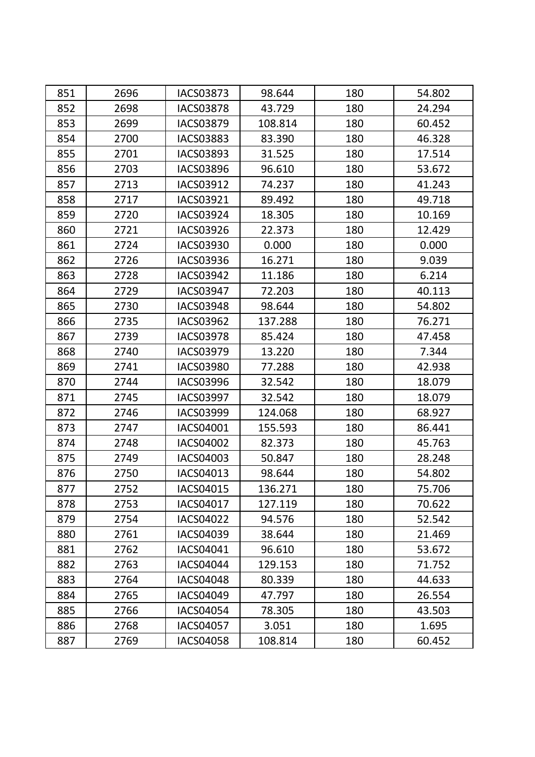| 851 | 2696 | <b>IACS03873</b> | 98.644  | 180 | 54.802 |
|-----|------|------------------|---------|-----|--------|
| 852 | 2698 | <b>IACS03878</b> | 43.729  | 180 | 24.294 |
| 853 | 2699 | <b>IACS03879</b> | 108.814 | 180 | 60.452 |
| 854 | 2700 | <b>IACS03883</b> | 83.390  | 180 | 46.328 |
| 855 | 2701 | IACS03893        | 31.525  | 180 | 17.514 |
| 856 | 2703 | <b>IACS03896</b> | 96.610  | 180 | 53.672 |
| 857 | 2713 | IACS03912        | 74.237  | 180 | 41.243 |
| 858 | 2717 | IACS03921        | 89.492  | 180 | 49.718 |
| 859 | 2720 | <b>IACS03924</b> | 18.305  | 180 | 10.169 |
| 860 | 2721 | IACS03926        | 22.373  | 180 | 12.429 |
| 861 | 2724 | IACS03930        | 0.000   | 180 | 0.000  |
| 862 | 2726 | IACS03936        | 16.271  | 180 | 9.039  |
| 863 | 2728 | <b>IACS03942</b> | 11.186  | 180 | 6.214  |
| 864 | 2729 | <b>IACS03947</b> | 72.203  | 180 | 40.113 |
| 865 | 2730 | <b>IACS03948</b> | 98.644  | 180 | 54.802 |
| 866 | 2735 | <b>IACS03962</b> | 137.288 | 180 | 76.271 |
| 867 | 2739 | <b>IACS03978</b> | 85.424  | 180 | 47.458 |
| 868 | 2740 | IACS03979        | 13.220  | 180 | 7.344  |
| 869 | 2741 | <b>IACS03980</b> | 77.288  | 180 | 42.938 |
| 870 | 2744 | <b>IACS03996</b> | 32.542  | 180 | 18.079 |
| 871 | 2745 | <b>IACS03997</b> | 32.542  | 180 | 18.079 |
| 872 | 2746 | <b>IACS03999</b> | 124.068 | 180 | 68.927 |
| 873 | 2747 | IACS04001        | 155.593 | 180 | 86.441 |
| 874 | 2748 | <b>IACS04002</b> | 82.373  | 180 | 45.763 |
| 875 | 2749 | IACS04003        | 50.847  | 180 | 28.248 |
| 876 | 2750 | IACS04013        | 98.644  | 180 | 54.802 |
| 877 | 2752 | IACS04015        | 136.271 | 180 | 75.706 |
| 878 | 2753 | IACS04017        | 127.119 | 180 | 70.622 |
| 879 | 2754 | <b>IACS04022</b> | 94.576  | 180 | 52.542 |
| 880 | 2761 | IACS04039        | 38.644  | 180 | 21.469 |
| 881 | 2762 | IACS04041        | 96.610  | 180 | 53.672 |
| 882 | 2763 | IACS04044        | 129.153 | 180 | 71.752 |
| 883 | 2764 | <b>IACS04048</b> | 80.339  | 180 | 44.633 |
| 884 | 2765 | IACS04049        | 47.797  | 180 | 26.554 |
| 885 | 2766 | IACS04054        | 78.305  | 180 | 43.503 |
| 886 | 2768 | <b>IACS04057</b> | 3.051   | 180 | 1.695  |
| 887 | 2769 | <b>IACS04058</b> | 108.814 | 180 | 60.452 |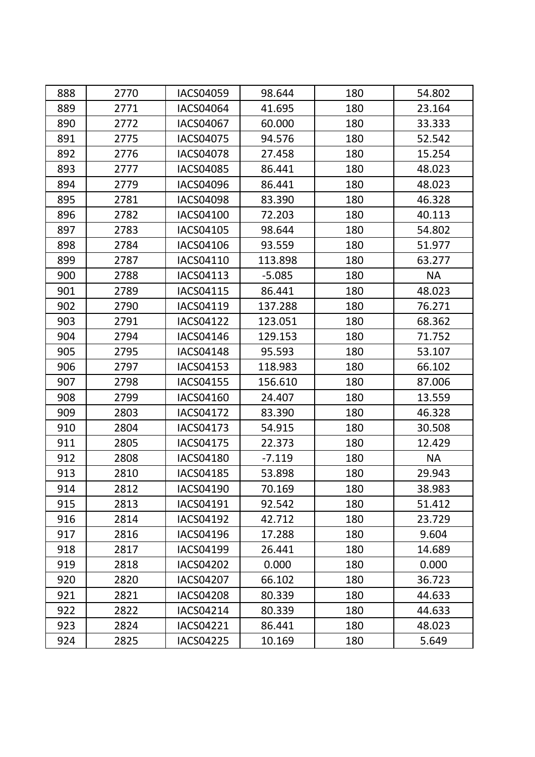| 888 | 2770 | <b>IACS04059</b> | 98.644   | 180 | 54.802    |
|-----|------|------------------|----------|-----|-----------|
| 889 | 2771 | <b>IACS04064</b> | 41.695   | 180 | 23.164    |
| 890 | 2772 | IACS04067        | 60.000   | 180 | 33.333    |
| 891 | 2775 | <b>IACS04075</b> | 94.576   | 180 | 52.542    |
| 892 | 2776 | <b>IACS04078</b> | 27.458   | 180 | 15.254    |
| 893 | 2777 | <b>IACS04085</b> | 86.441   | 180 | 48.023    |
| 894 | 2779 | <b>IACS04096</b> | 86.441   | 180 | 48.023    |
| 895 | 2781 | <b>IACS04098</b> | 83.390   | 180 | 46.328    |
| 896 | 2782 | <b>IACS04100</b> | 72.203   | 180 | 40.113    |
| 897 | 2783 | IACS04105        | 98.644   | 180 | 54.802    |
| 898 | 2784 | IACS04106        | 93.559   | 180 | 51.977    |
| 899 | 2787 | IACS04110        | 113.898  | 180 | 63.277    |
| 900 | 2788 | IACS04113        | $-5.085$ | 180 | <b>NA</b> |
| 901 | 2789 | IACS04115        | 86.441   | 180 | 48.023    |
| 902 | 2790 | IACS04119        | 137.288  | 180 | 76.271    |
| 903 | 2791 | <b>IACS04122</b> | 123.051  | 180 | 68.362    |
| 904 | 2794 | IACS04146        | 129.153  | 180 | 71.752    |
| 905 | 2795 | <b>IACS04148</b> | 95.593   | 180 | 53.107    |
| 906 | 2797 | IACS04153        | 118.983  | 180 | 66.102    |
| 907 | 2798 | IACS04155        | 156.610  | 180 | 87.006    |
| 908 | 2799 | IACS04160        | 24.407   | 180 | 13.559    |
| 909 | 2803 | <b>IACS04172</b> | 83.390   | 180 | 46.328    |
| 910 | 2804 | <b>IACS04173</b> | 54.915   | 180 | 30.508    |
| 911 | 2805 | IACS04175        | 22.373   | 180 | 12.429    |
| 912 | 2808 | <b>IACS04180</b> | $-7.119$ | 180 | <b>NA</b> |
| 913 | 2810 | <b>IACS04185</b> | 53.898   | 180 | 29.943    |
| 914 | 2812 | <b>IACS04190</b> | 70.169   | 180 | 38.983    |
| 915 | 2813 | IACS04191        | 92.542   | 180 | 51.412    |
| 916 | 2814 | IACS04192        | 42.712   | 180 | 23.729    |
| 917 | 2816 | <b>IACS04196</b> | 17.288   | 180 | 9.604     |
| 918 | 2817 | IACS04199        | 26.441   | 180 | 14.689    |
| 919 | 2818 | <b>IACS04202</b> | 0.000    | 180 | 0.000     |
| 920 | 2820 | IACS04207        | 66.102   | 180 | 36.723    |
| 921 | 2821 | <b>IACS04208</b> | 80.339   | 180 | 44.633    |
| 922 | 2822 | IACS04214        | 80.339   | 180 | 44.633    |
| 923 | 2824 | IACS04221        | 86.441   | 180 | 48.023    |
| 924 | 2825 | <b>IACS04225</b> | 10.169   | 180 | 5.649     |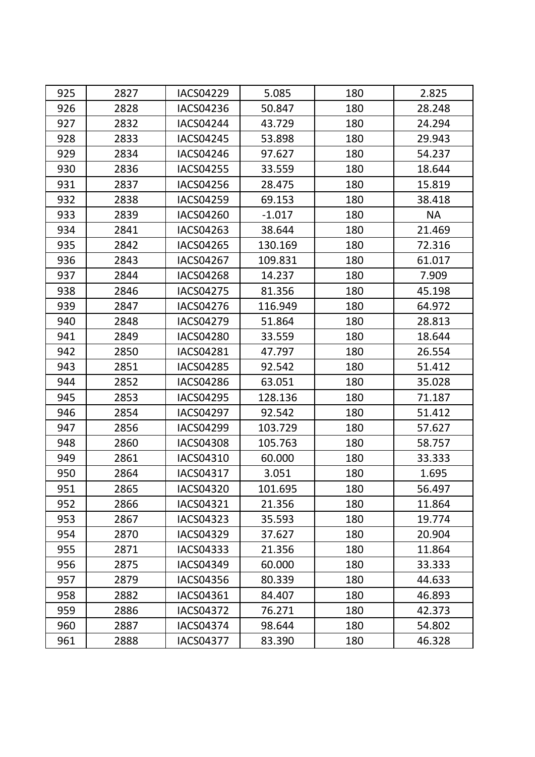| 925 | 2827 | <b>IACS04229</b> | 5.085    | 180 | 2.825     |
|-----|------|------------------|----------|-----|-----------|
| 926 | 2828 | <b>IACS04236</b> | 50.847   | 180 | 28.248    |
| 927 | 2832 | <b>IACS04244</b> | 43.729   | 180 | 24.294    |
| 928 | 2833 | <b>IACS04245</b> | 53.898   | 180 | 29.943    |
| 929 | 2834 | <b>IACS04246</b> | 97.627   | 180 | 54.237    |
| 930 | 2836 | <b>IACS04255</b> | 33.559   | 180 | 18.644    |
| 931 | 2837 | <b>IACS04256</b> | 28.475   | 180 | 15.819    |
| 932 | 2838 | <b>IACS04259</b> | 69.153   | 180 | 38.418    |
| 933 | 2839 | IACS04260        | $-1.017$ | 180 | <b>NA</b> |
| 934 | 2841 | IACS04263        | 38.644   | 180 | 21.469    |
| 935 | 2842 | <b>IACS04265</b> | 130.169  | 180 | 72.316    |
| 936 | 2843 | <b>IACS04267</b> | 109.831  | 180 | 61.017    |
| 937 | 2844 | <b>IACS04268</b> | 14.237   | 180 | 7.909     |
| 938 | 2846 | <b>IACS04275</b> | 81.356   | 180 | 45.198    |
| 939 | 2847 | <b>IACS04276</b> | 116.949  | 180 | 64.972    |
| 940 | 2848 | <b>IACS04279</b> | 51.864   | 180 | 28.813    |
| 941 | 2849 | <b>IACS04280</b> | 33.559   | 180 | 18.644    |
| 942 | 2850 | <b>IACS04281</b> | 47.797   | 180 | 26.554    |
| 943 | 2851 | <b>IACS04285</b> | 92.542   | 180 | 51.412    |
| 944 | 2852 | <b>IACS04286</b> | 63.051   | 180 | 35.028    |
| 945 | 2853 | <b>IACS04295</b> | 128.136  | 180 | 71.187    |
| 946 | 2854 | <b>IACS04297</b> | 92.542   | 180 | 51.412    |
| 947 | 2856 | <b>IACS04299</b> | 103.729  | 180 | 57.627    |
| 948 | 2860 | <b>IACS04308</b> | 105.763  | 180 | 58.757    |
| 949 | 2861 | IACS04310        | 60.000   | 180 | 33.333    |
| 950 | 2864 | IACS04317        | 3.051    | 180 | 1.695     |
| 951 | 2865 | <b>IACS04320</b> | 101.695  | 180 | 56.497    |
| 952 | 2866 | IACS04321        | 21.356   | 180 | 11.864    |
| 953 | 2867 | <b>IACS04323</b> | 35.593   | 180 | 19.774    |
| 954 | 2870 | <b>IACS04329</b> | 37.627   | 180 | 20.904    |
| 955 | 2871 | IACS04333        | 21.356   | 180 | 11.864    |
| 956 | 2875 | IACS04349        | 60.000   | 180 | 33.333    |
| 957 | 2879 | <b>IACS04356</b> | 80.339   | 180 | 44.633    |
| 958 | 2882 | IACS04361        | 84.407   | 180 | 46.893    |
| 959 | 2886 | <b>IACS04372</b> | 76.271   | 180 | 42.373    |
| 960 | 2887 | <b>IACS04374</b> | 98.644   | 180 | 54.802    |
| 961 | 2888 | <b>IACS04377</b> | 83.390   | 180 | 46.328    |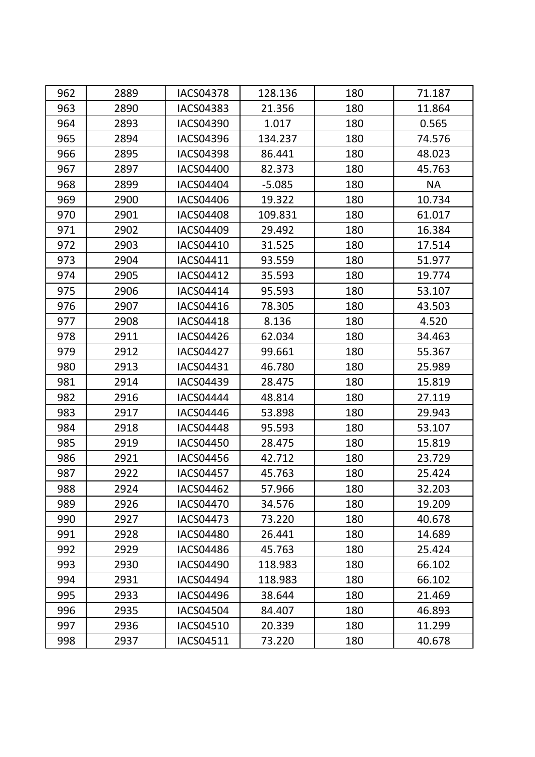| 962 | 2889 | <b>IACS04378</b> | 128.136  | 180 | 71.187    |
|-----|------|------------------|----------|-----|-----------|
| 963 | 2890 | <b>IACS04383</b> | 21.356   | 180 | 11.864    |
| 964 | 2893 | <b>IACS04390</b> | 1.017    | 180 | 0.565     |
| 965 | 2894 | <b>IACS04396</b> | 134.237  | 180 | 74.576    |
| 966 | 2895 | <b>IACS04398</b> | 86.441   | 180 | 48.023    |
| 967 | 2897 | <b>IACS04400</b> | 82.373   | 180 | 45.763    |
| 968 | 2899 | IACS04404        | $-5.085$ | 180 | <b>NA</b> |
| 969 | 2900 | <b>IACS04406</b> | 19.322   | 180 | 10.734    |
| 970 | 2901 | <b>IACS04408</b> | 109.831  | 180 | 61.017    |
| 971 | 2902 | IACS04409        | 29.492   | 180 | 16.384    |
| 972 | 2903 | IACS04410        | 31.525   | 180 | 17.514    |
| 973 | 2904 | IACS04411        | 93.559   | 180 | 51.977    |
| 974 | 2905 | <b>IACS04412</b> | 35.593   | 180 | 19.774    |
| 975 | 2906 | IACS04414        | 95.593   | 180 | 53.107    |
| 976 | 2907 | IACS04416        | 78.305   | 180 | 43.503    |
| 977 | 2908 | <b>IACS04418</b> | 8.136    | 180 | 4.520     |
| 978 | 2911 | <b>IACS04426</b> | 62.034   | 180 | 34.463    |
| 979 | 2912 | <b>IACS04427</b> | 99.661   | 180 | 55.367    |
| 980 | 2913 | IACS04431        | 46.780   | 180 | 25.989    |
| 981 | 2914 | <b>IACS04439</b> | 28.475   | 180 | 15.819    |
| 982 | 2916 | <b>IACS04444</b> | 48.814   | 180 | 27.119    |
| 983 | 2917 | <b>IACS04446</b> | 53.898   | 180 | 29.943    |
| 984 | 2918 | <b>IACS04448</b> | 95.593   | 180 | 53.107    |
| 985 | 2919 | <b>IACS04450</b> | 28.475   | 180 | 15.819    |
| 986 | 2921 | <b>IACS04456</b> | 42.712   | 180 | 23.729    |
| 987 | 2922 | <b>IACS04457</b> | 45.763   | 180 | 25.424    |
| 988 | 2924 | <b>IACS04462</b> | 57.966   | 180 | 32.203    |
| 989 | 2926 | <b>IACS04470</b> | 34.576   | 180 | 19.209    |
| 990 | 2927 | IACS04473        | 73.220   | 180 | 40.678    |
| 991 | 2928 | <b>IACS04480</b> | 26.441   | 180 | 14.689    |
| 992 | 2929 | <b>IACS04486</b> | 45.763   | 180 | 25.424    |
| 993 | 2930 | <b>IACS04490</b> | 118.983  | 180 | 66.102    |
| 994 | 2931 | <b>IACS04494</b> | 118.983  | 180 | 66.102    |
| 995 | 2933 | <b>IACS04496</b> | 38.644   | 180 | 21.469    |
| 996 | 2935 | <b>IACS04504</b> | 84.407   | 180 | 46.893    |
| 997 | 2936 | IACS04510        | 20.339   | 180 | 11.299    |
| 998 | 2937 | IACS04511        | 73.220   | 180 | 40.678    |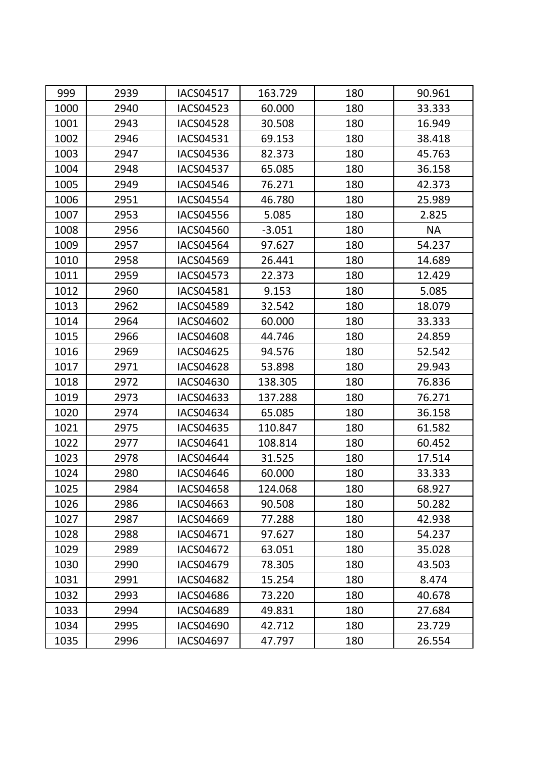| 999  | 2939 | <b>IACS04517</b> | 163.729  | 180 | 90.961    |
|------|------|------------------|----------|-----|-----------|
| 1000 | 2940 | <b>IACS04523</b> | 60.000   | 180 | 33.333    |
| 1001 | 2943 | <b>IACS04528</b> | 30.508   | 180 | 16.949    |
| 1002 | 2946 | <b>IACS04531</b> | 69.153   | 180 | 38.418    |
| 1003 | 2947 | <b>IACS04536</b> | 82.373   | 180 | 45.763    |
| 1004 | 2948 | <b>IACS04537</b> | 65.085   | 180 | 36.158    |
| 1005 | 2949 | <b>IACS04546</b> | 76.271   | 180 | 42.373    |
| 1006 | 2951 | <b>IACS04554</b> | 46.780   | 180 | 25.989    |
| 1007 | 2953 | <b>IACS04556</b> | 5.085    | 180 | 2.825     |
| 1008 | 2956 | <b>IACS04560</b> | $-3.051$ | 180 | <b>NA</b> |
| 1009 | 2957 | <b>IACS04564</b> | 97.627   | 180 | 54.237    |
| 1010 | 2958 | <b>IACS04569</b> | 26.441   | 180 | 14.689    |
| 1011 | 2959 | <b>IACS04573</b> | 22.373   | 180 | 12.429    |
| 1012 | 2960 | <b>IACS04581</b> | 9.153    | 180 | 5.085     |
| 1013 | 2962 | <b>IACS04589</b> | 32.542   | 180 | 18.079    |
| 1014 | 2964 | <b>IACS04602</b> | 60.000   | 180 | 33.333    |
| 1015 | 2966 | <b>IACS04608</b> | 44.746   | 180 | 24.859    |
| 1016 | 2969 | <b>IACS04625</b> | 94.576   | 180 | 52.542    |
| 1017 | 2971 | <b>IACS04628</b> | 53.898   | 180 | 29.943    |
| 1018 | 2972 | IACS04630        | 138.305  | 180 | 76.836    |
| 1019 | 2973 | <b>IACS04633</b> | 137.288  | 180 | 76.271    |
| 1020 | 2974 | <b>IACS04634</b> | 65.085   | 180 | 36.158    |
| 1021 | 2975 | <b>IACS04635</b> | 110.847  | 180 | 61.582    |
| 1022 | 2977 | IACS04641        | 108.814  | 180 | 60.452    |
| 1023 | 2978 | <b>IACS04644</b> | 31.525   | 180 | 17.514    |
| 1024 | 2980 | <b>IACS04646</b> | 60.000   | 180 | 33.333    |
| 1025 | 2984 | <b>IACS04658</b> | 124.068  | 180 | 68.927    |
| 1026 | 2986 | IACS04663        | 90.508   | 180 | 50.282    |
| 1027 | 2987 | IACS04669        | 77.288   | 180 | 42.938    |
| 1028 | 2988 | IACS04671        | 97.627   | 180 | 54.237    |
| 1029 | 2989 | <b>IACS04672</b> | 63.051   | 180 | 35.028    |
| 1030 | 2990 | IACS04679        | 78.305   | 180 | 43.503    |
| 1031 | 2991 | IACS04682        | 15.254   | 180 | 8.474     |
| 1032 | 2993 | <b>IACS04686</b> | 73.220   | 180 | 40.678    |
| 1033 | 2994 | IACS04689        | 49.831   | 180 | 27.684    |
| 1034 | 2995 | IACS04690        | 42.712   | 180 | 23.729    |
| 1035 | 2996 | <b>IACS04697</b> | 47.797   | 180 | 26.554    |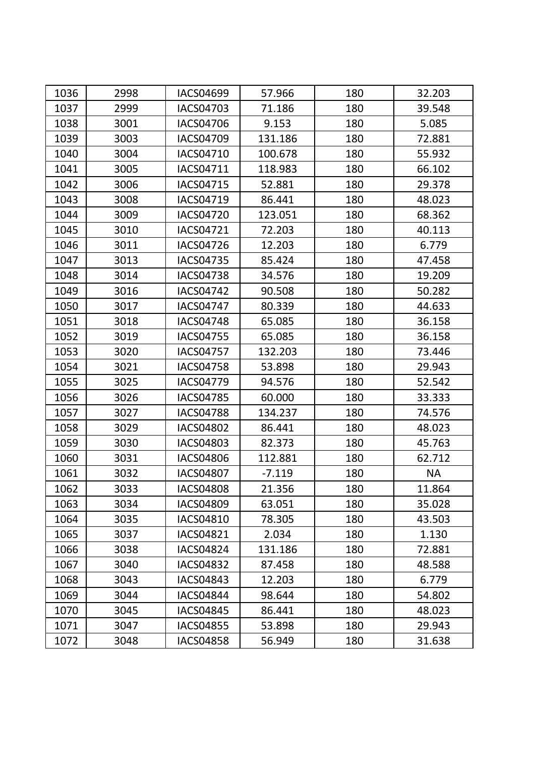| 1036 | 2998 | <b>IACS04699</b> | 57.966   | 180 | 32.203    |
|------|------|------------------|----------|-----|-----------|
| 1037 | 2999 | <b>IACS04703</b> | 71.186   | 180 | 39.548    |
| 1038 | 3001 | <b>IACS04706</b> | 9.153    | 180 | 5.085     |
| 1039 | 3003 | <b>IACS04709</b> | 131.186  | 180 | 72.881    |
| 1040 | 3004 | IACS04710        | 100.678  | 180 | 55.932    |
| 1041 | 3005 | IACS04711        | 118.983  | 180 | 66.102    |
| 1042 | 3006 | IACS04715        | 52.881   | 180 | 29.378    |
| 1043 | 3008 | IACS04719        | 86.441   | 180 | 48.023    |
| 1044 | 3009 | <b>IACS04720</b> | 123.051  | 180 | 68.362    |
| 1045 | 3010 | IACS04721        | 72.203   | 180 | 40.113    |
| 1046 | 3011 | <b>IACS04726</b> | 12.203   | 180 | 6.779     |
| 1047 | 3013 | <b>IACS04735</b> | 85.424   | 180 | 47.458    |
| 1048 | 3014 | <b>IACS04738</b> | 34.576   | 180 | 19.209    |
| 1049 | 3016 | <b>IACS04742</b> | 90.508   | 180 | 50.282    |
| 1050 | 3017 | <b>IACS04747</b> | 80.339   | 180 | 44.633    |
| 1051 | 3018 | <b>IACS04748</b> | 65.085   | 180 | 36.158    |
| 1052 | 3019 | <b>IACS04755</b> | 65.085   | 180 | 36.158    |
| 1053 | 3020 | <b>IACS04757</b> | 132.203  | 180 | 73.446    |
| 1054 | 3021 | <b>IACS04758</b> | 53.898   | 180 | 29.943    |
| 1055 | 3025 | <b>IACS04779</b> | 94.576   | 180 | 52.542    |
| 1056 | 3026 | <b>IACS04785</b> | 60.000   | 180 | 33.333    |
| 1057 | 3027 | <b>IACS04788</b> | 134.237  | 180 | 74.576    |
| 1058 | 3029 | <b>IACS04802</b> | 86.441   | 180 | 48.023    |
| 1059 | 3030 | IACS04803        | 82.373   | 180 | 45.763    |
| 1060 | 3031 | <b>IACS04806</b> | 112.881  | 180 | 62.712    |
| 1061 | 3032 | <b>IACS04807</b> | $-7.119$ | 180 | <b>NA</b> |
| 1062 | 3033 | <b>IACS04808</b> | 21.356   | 180 | 11.864    |
| 1063 | 3034 | <b>IACS04809</b> | 63.051   | 180 | 35.028    |
| 1064 | 3035 | IACS04810        | 78.305   | 180 | 43.503    |
| 1065 | 3037 | <b>IACS04821</b> | 2.034    | 180 | 1.130     |
| 1066 | 3038 | <b>IACS04824</b> | 131.186  | 180 | 72.881    |
| 1067 | 3040 | <b>IACS04832</b> | 87.458   | 180 | 48.588    |
| 1068 | 3043 | IACS04843        | 12.203   | 180 | 6.779     |
| 1069 | 3044 | IACS04844        | 98.644   | 180 | 54.802    |
| 1070 | 3045 | <b>IACS04845</b> | 86.441   | 180 | 48.023    |
| 1071 | 3047 | <b>IACS04855</b> | 53.898   | 180 | 29.943    |
| 1072 | 3048 | <b>IACS04858</b> | 56.949   | 180 | 31.638    |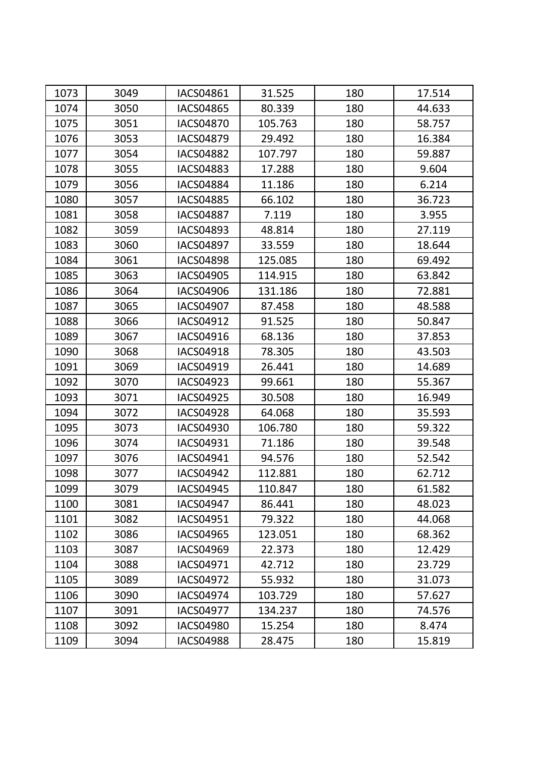| 1073 | 3049 | IACS04861        | 31.525  | 180 | 17.514 |
|------|------|------------------|---------|-----|--------|
| 1074 | 3050 | <b>IACS04865</b> | 80.339  | 180 | 44.633 |
| 1075 | 3051 | <b>IACS04870</b> | 105.763 | 180 | 58.757 |
| 1076 | 3053 | <b>IACS04879</b> | 29.492  | 180 | 16.384 |
| 1077 | 3054 | <b>IACS04882</b> | 107.797 | 180 | 59.887 |
| 1078 | 3055 | <b>IACS04883</b> | 17.288  | 180 | 9.604  |
| 1079 | 3056 | <b>IACS04884</b> | 11.186  | 180 | 6.214  |
| 1080 | 3057 | <b>IACS04885</b> | 66.102  | 180 | 36.723 |
| 1081 | 3058 | <b>IACS04887</b> | 7.119   | 180 | 3.955  |
| 1082 | 3059 | IACS04893        | 48.814  | 180 | 27.119 |
| 1083 | 3060 | <b>IACS04897</b> | 33.559  | 180 | 18.644 |
| 1084 | 3061 | <b>IACS04898</b> | 125.085 | 180 | 69.492 |
| 1085 | 3063 | <b>IACS04905</b> | 114.915 | 180 | 63.842 |
| 1086 | 3064 | <b>IACS04906</b> | 131.186 | 180 | 72.881 |
| 1087 | 3065 | <b>IACS04907</b> | 87.458  | 180 | 48.588 |
| 1088 | 3066 | IACS04912        | 91.525  | 180 | 50.847 |
| 1089 | 3067 | IACS04916        | 68.136  | 180 | 37.853 |
| 1090 | 3068 | <b>IACS04918</b> | 78.305  | 180 | 43.503 |
| 1091 | 3069 | IACS04919        | 26.441  | 180 | 14.689 |
| 1092 | 3070 | IACS04923        | 99.661  | 180 | 55.367 |
| 1093 | 3071 | <b>IACS04925</b> | 30.508  | 180 | 16.949 |
| 1094 | 3072 | <b>IACS04928</b> | 64.068  | 180 | 35.593 |
| 1095 | 3073 | <b>IACS04930</b> | 106.780 | 180 | 59.322 |
| 1096 | 3074 | IACS04931        | 71.186  | 180 | 39.548 |
| 1097 | 3076 | IACS04941        | 94.576  | 180 | 52.542 |
| 1098 | 3077 | <b>IACS04942</b> | 112.881 | 180 | 62.712 |
| 1099 | 3079 | <b>IACS04945</b> | 110.847 | 180 | 61.582 |
| 1100 | 3081 | IACS04947        | 86.441  | 180 | 48.023 |
| 1101 | 3082 | IACS04951        | 79.322  | 180 | 44.068 |
| 1102 | 3086 | IACS04965        | 123.051 | 180 | 68.362 |
| 1103 | 3087 | IACS04969        | 22.373  | 180 | 12.429 |
| 1104 | 3088 | IACS04971        | 42.712  | 180 | 23.729 |
| 1105 | 3089 | <b>IACS04972</b> | 55.932  | 180 | 31.073 |
| 1106 | 3090 | <b>IACS04974</b> | 103.729 | 180 | 57.627 |
| 1107 | 3091 | <b>IACS04977</b> | 134.237 | 180 | 74.576 |
| 1108 | 3092 | <b>IACS04980</b> | 15.254  | 180 | 8.474  |
| 1109 | 3094 | <b>IACS04988</b> | 28.475  | 180 | 15.819 |